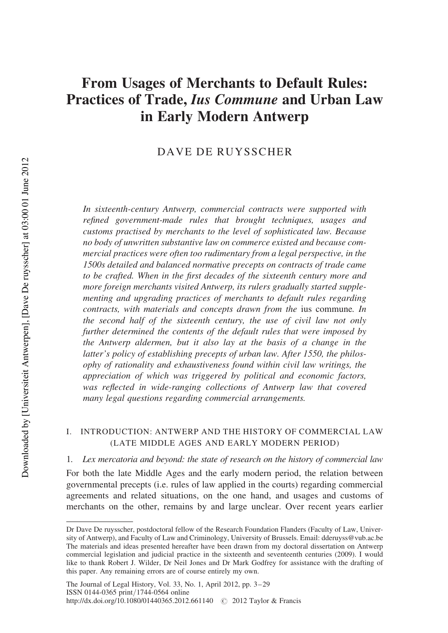# From Usages of Merchants to Default Rules: Practices of Trade, Ius Commune and Urban Law in Early Modern Antwerp

# DAVE DE RUYSSCHER

In sixteenth-century Antwerp, commercial contracts were supported with refined government-made rules that brought techniques, usages and customs practised by merchants to the level of sophisticated law. Because no body of unwritten substantive law on commerce existed and because commercial practices were often too rudimentary from a legal perspective, in the 1500s detailed and balanced normative precepts on contracts of trade came to be crafted. When in the first decades of the sixteenth century more and more foreign merchants visited Antwerp, its rulers gradually started supplementing and upgrading practices of merchants to default rules regarding contracts, with materials and concepts drawn from the ius commune. In the second half of the sixteenth century, the use of civil law not only further determined the contents of the default rules that were imposed by the Antwerp aldermen, but it also lay at the basis of a change in the latter's policy of establishing precepts of urban law. After 1550, the philosophy of rationality and exhaustiveness found within civil law writings, the appreciation of which was triggered by political and economic factors, was reflected in wide-ranging collections of Antwerp law that covered many legal questions regarding commercial arrangements.

# I. INTRODUCTION: ANTWERP AND THE HISTORY OF COMMERCIAL LAW (LATE MIDDLE AGES AND EARLY MODERN PERIOD)

1. Lex mercatoria and beyond: the state of research on the history of commercial law

For both the late Middle Ages and the early modern period, the relation between governmental precepts (i.e. rules of law applied in the courts) regarding commercial agreements and related situations, on the one hand, and usages and customs of merchants on the other, remains by and large unclear. Over recent years earlier

Dr Dave De ruysscher, postdoctoral fellow of the Research Foundation Flanders (Faculty of Law, University of Antwerp), and Faculty of Law and Criminology, University of Brussels. Email: dderuyss@vub.ac.be The materials and ideas presented hereafter have been drawn from my doctoral dissertation on Antwerp commercial legislation and judicial practice in the sixteenth and seventeenth centuries (2009). I would like to thank Robert J. Wilder, Dr Neil Jones and Dr Mark Godfrey for assistance with the drafting of this paper. Any remaining errors are of course entirely my own.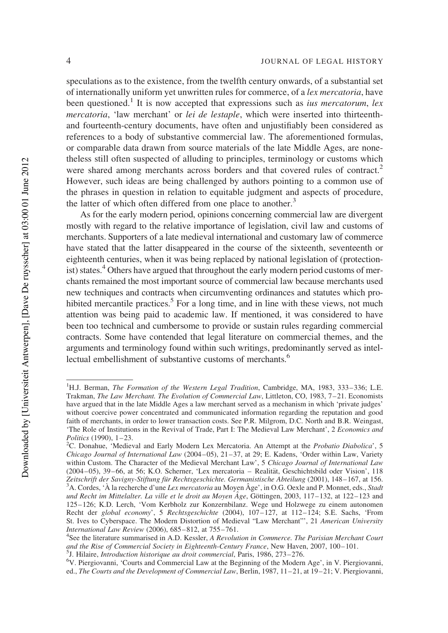speculations as to the existence, from the twelfth century onwards, of a substantial set of internationally uniform yet unwritten rules for commerce, of a lex mercatoria, have been questioned.<sup>1</sup> It is now accepted that expressions such as *ius mercatorum*, lex mercatoria, 'law merchant' or lei de lestaple, which were inserted into thirteenthand fourteenth-century documents, have often and unjustifiably been considered as references to a body of substantive commercial law. The aforementioned formulas, or comparable data drawn from source materials of the late Middle Ages, are nonetheless still often suspected of alluding to principles, terminology or customs which were shared among merchants across borders and that covered rules of contract.<sup>2</sup> However, such ideas are being challenged by authors pointing to a common use of the phrases in question in relation to equitable judgment and aspects of procedure, the latter of which often differed from one place to another.<sup>3</sup>

As for the early modern period, opinions concerning commercial law are divergent mostly with regard to the relative importance of legislation, civil law and customs of merchants. Supporters of a late medieval international and customary law of commerce have stated that the latter disappeared in the course of the sixteenth, seventeenth or eighteenth centuries, when it was being replaced by national legislation of (protectionist) states.<sup>4</sup> Others have argued that throughout the early modern period customs of merchants remained the most important source of commercial law because merchants used new techniques and contracts when circumventing ordinances and statutes which prohibited mercantile practices.<sup>5</sup> For a long time, and in line with these views, not much attention was being paid to academic law. If mentioned, it was considered to have been too technical and cumbersome to provide or sustain rules regarding commercial contracts. Some have contended that legal literature on commercial themes, and the arguments and terminology found within such writings, predominantly served as intellectual embellishment of substantive customs of merchants.<sup>6</sup>

<sup>&</sup>lt;sup>1</sup>H.J. Berman, *The Formation of the Western Legal Tradition*, Cambridge, MA, 1983, 333-336; L.E. Trakman, The Law Merchant. The Evolution of Commercial Law, Littleton, CO, 1983, 7-21. Economists have argued that in the late Middle Ages a law merchant served as a mechanism in which 'private judges' without coercive power concentrated and communicated information regarding the reputation and good faith of merchants, in order to lower transaction costs. See P.R. Milgrom, D.C. North and B.R. Weingast, 'The Role of Institutions in the Revival of Trade, Part I: The Medieval Law Merchant', 2 Economics and Politics (1990),  $1-23$ .

<sup>&</sup>lt;sup>2</sup>C. Donahue, 'Medieval and Early Modern Lex Mercatoria. An Attempt at the *Probatio Diabolica*', 5 Chicago Journal of International Law  $(2004-05)$ ,  $21-37$ , at 29; E. Kadens, 'Order within Law, Variety within Custom. The Character of the Medieval Merchant Law', 5 Chicago Journal of International Law  $(2004-05)$ , 39–66, at 56; K.O. Scherner, 'Lex mercatoria – Realität, Geschichtsbild oder Vision', 118 Zeitschrift der Savigny-Stiftung für Rechtsgeschichte. Germanistische Abteilung (2001), 148–167, at 156. <sup>3</sup>A. Cordes, 'À la recherche d'une Lex mercatoria au Moyen Âge', in O.G. Oexle and P. Monnet, eds., Stadt und Recht im Mittelalter. La ville et le droit au Moyen Âge, Göttingen, 2003, 117–132, at 122–123 and 125 –126; K.D. Lerch, 'Vom Kerbholz zur Konzernbilanz. Wege und Holzwege zu einem autonomen Recht der global economy', 5 Rechtsgeschichte (2004), 107-127, at 112-124; S.E. Sachs, 'From St. Ives to Cyberspace. The Modern Distortion of Medieval "Law Merchant"', 21 American University International Law Review (2006), 685– 812, at 755– 761. <sup>4</sup>

<sup>&</sup>lt;sup>4</sup>See the literature summarised in A.D. Kessler, A Revolution in Commerce. The Parisian Merchant Court and the Rise of Commercial Society in Eighteenth-Century France, New Haven, 2007, 100–101.

<sup>&</sup>lt;sup>5</sup>J. Hilaire, Introduction historique au droit commercial, Paris, 1986, 273-276.

<sup>&</sup>lt;sup>6</sup>V. Piergiovanni, 'Courts and Commercial Law at the Beginning of the Modern Age', in V. Piergiovanni, ed., The Courts and the Development of Commercial Law, Berlin, 1987, 11–21, at 19–21; V. Piergiovanni,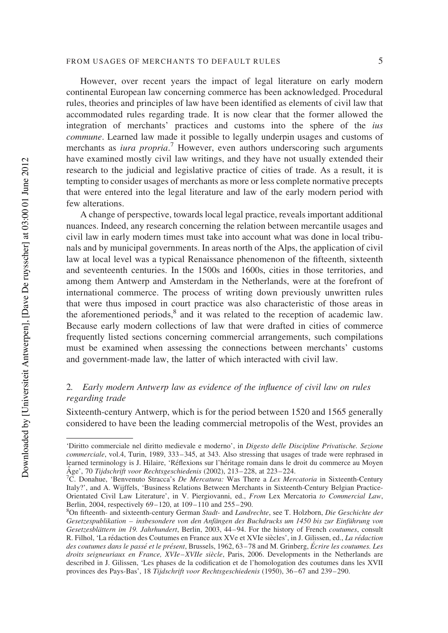However, over recent years the impact of legal literature on early modern continental European law concerning commerce has been acknowledged. Procedural rules, theories and principles of law have been identified as elements of civil law that accommodated rules regarding trade. It is now clear that the former allowed the integration of merchants' practices and customs into the sphere of the ius commune. Learned law made it possible to legally underpin usages and customs of merchants as *iura propria*.<sup>7</sup> However, even authors underscoring such arguments have examined mostly civil law writings, and they have not usually extended their research to the judicial and legislative practice of cities of trade. As a result, it is tempting to consider usages of merchants as more or less complete normative precepts that were entered into the legal literature and law of the early modern period with few alterations.

A change of perspective, towards local legal practice, reveals important additional nuances. Indeed, any research concerning the relation between mercantile usages and civil law in early modern times must take into account what was done in local tribunals and by municipal governments. In areas north of the Alps, the application of civil law at local level was a typical Renaissance phenomenon of the fifteenth, sixteenth and seventeenth centuries. In the 1500s and 1600s, cities in those territories, and among them Antwerp and Amsterdam in the Netherlands, were at the forefront of international commerce. The process of writing down previously unwritten rules that were thus imposed in court practice was also characteristic of those areas in the aforementioned periods,<sup>8</sup> and it was related to the reception of academic law. Because early modern collections of law that were drafted in cities of commerce frequently listed sections concerning commercial arrangements, such compilations must be examined when assessing the connections between merchants' customs and government-made law, the latter of which interacted with civil law.

# 2. Early modern Antwerp law as evidence of the influence of civil law on rules regarding trade

Sixteenth-century Antwerp, which is for the period between 1520 and 1565 generally considered to have been the leading commercial metropolis of the West, provides an

<sup>&#</sup>x27;Diritto commerciale nel diritto medievale e moderno', in Digesto delle Discipline Privatische. Sezione commerciale, vol.4, Turin, 1989, 333– 345, at 343. Also stressing that usages of trade were rephrased in learned terminology is J. Hilaire, 'Réflexions sur l'héritage romain dans le droit du commerce au Moyen Âge', 70 Tijdschrift voor Rechtsgeschiedenis (2002), 213-228, at 223-224.

<sup>&</sup>lt;sup>7</sup>C. Donahue, 'Benvenuto Stracca's *De Mercatura:* Was There a *Lex Mercatoria* in Sixteenth-Century Italy?', and A. Wijffels, 'Business Relations Between Merchants in Sixteenth-Century Belgian Practice-Orientated Civil Law Literature', in V. Piergiovanni, ed., From Lex Mercatoria to Commercial Law, Berlin, 2004, respectively 69–120, at 109–110 and 255–290.

<sup>&</sup>lt;sup>8</sup>On fifteenth- and sixteenth-century German Stadt- and Landrechte, see T. Holzborn, Die Geschichte der Gesetzespublikation – insbesondere von den Anfängen des Buchdrucks um 1450 bis zur Einführung von Gesetzesblättern im 19. Jahrhundert, Berlin, 2003, 44–94. For the history of French coutumes, consult R. Filhol, 'La rédaction des Coutumes en France aux XVe et XVIe siècles', in J. Gilissen, ed., La rédaction des coutumes dans le passé et le présent, Brussels, 1962, 63–78 and M. Grinberg, Écrire les coutumes. Les droits seigneuriaux en France,  $XVIe-XVIIe$  siècle, Paris, 2006. Developments in the Netherlands are described in J. Gilissen, 'Les phases de la codification et de l'homologation des coutumes dans les XVII provinces des Pays-Bas', 18 Tijdschrift voor Rechtsgeschiedenis (1950), 36–67 and 239– 290.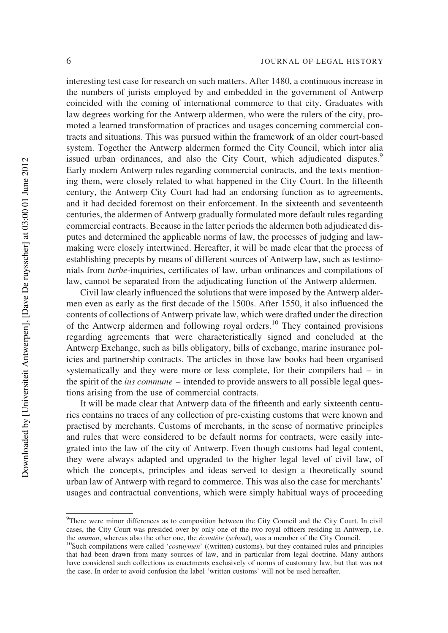interesting test case for research on such matters. After 1480, a continuous increase in the numbers of jurists employed by and embedded in the government of Antwerp coincided with the coming of international commerce to that city. Graduates with law degrees working for the Antwerp aldermen, who were the rulers of the city, promoted a learned transformation of practices and usages concerning commercial contracts and situations. This was pursued within the framework of an older court-based system. Together the Antwerp aldermen formed the City Council, which inter alia issued urban ordinances, and also the City Court, which adjudicated disputes.<sup>9</sup> Early modern Antwerp rules regarding commercial contracts, and the texts mentioning them, were closely related to what happened in the City Court. In the fifteenth century, the Antwerp City Court had had an endorsing function as to agreements, and it had decided foremost on their enforcement. In the sixteenth and seventeenth centuries, the aldermen of Antwerp gradually formulated more default rules regarding commercial contracts. Because in the latter periods the aldermen both adjudicated disputes and determined the applicable norms of law, the processes of judging and lawmaking were closely intertwined. Hereafter, it will be made clear that the process of establishing precepts by means of different sources of Antwerp law, such as testimonials from turbe-inquiries, certificates of law, urban ordinances and compilations of law, cannot be separated from the adjudicating function of the Antwerp aldermen.

Civil law clearly influenced the solutions that were imposed by the Antwerp aldermen even as early as the first decade of the 1500s. After 1550, it also influenced the contents of collections of Antwerp private law, which were drafted under the direction of the Antwerp aldermen and following royal orders.<sup>10</sup> They contained provisions regarding agreements that were characteristically signed and concluded at the Antwerp Exchange, such as bills obligatory, bills of exchange, marine insurance policies and partnership contracts. The articles in those law books had been organised systematically and they were more or less complete, for their compilers had – in the spirit of the *ius commune* – intended to provide answers to all possible legal questions arising from the use of commercial contracts.

It will be made clear that Antwerp data of the fifteenth and early sixteenth centuries contains no traces of any collection of pre-existing customs that were known and practised by merchants. Customs of merchants, in the sense of normative principles and rules that were considered to be default norms for contracts, were easily integrated into the law of the city of Antwerp. Even though customs had legal content, they were always adapted and upgraded to the higher legal level of civil law, of which the concepts, principles and ideas served to design a theoretically sound urban law of Antwerp with regard to commerce. This was also the case for merchants' usages and contractual conventions, which were simply habitual ways of proceeding

<sup>&</sup>lt;sup>9</sup>There were minor differences as to composition between the City Council and the City Court. In civil cases, the City Court was presided over by only one of the two royal officers residing in Antwerp, i.e. the amman, whereas also the other one, the écoutète (schout), was a member of the City Council.

<sup>&</sup>lt;sup>10</sup>Such compilations were called '*costuymen*' ((written) customs), but they contained rules and principles that had been drawn from many sources of law, and in particular from legal doctrine. Many authors have considered such collections as enactments exclusively of norms of customary law, but that was not the case. In order to avoid confusion the label 'written customs' will not be used hereafter.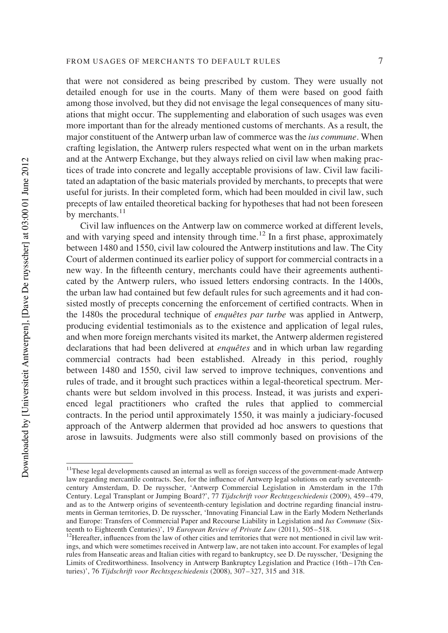that were not considered as being prescribed by custom. They were usually not detailed enough for use in the courts. Many of them were based on good faith among those involved, but they did not envisage the legal consequences of many situations that might occur. The supplementing and elaboration of such usages was even more important than for the already mentioned customs of merchants. As a result, the major constituent of the Antwerp urban law of commerce was the ius commune. When crafting legislation, the Antwerp rulers respected what went on in the urban markets and at the Antwerp Exchange, but they always relied on civil law when making practices of trade into concrete and legally acceptable provisions of law. Civil law facilitated an adaptation of the basic materials provided by merchants, to precepts that were useful for jurists. In their completed form, which had been moulded in civil law, such precepts of law entailed theoretical backing for hypotheses that had not been foreseen by merchants. $^{11}$ 

Civil law influences on the Antwerp law on commerce worked at different levels, and with varying speed and intensity through time.<sup>12</sup> In a first phase, approximately between 1480 and 1550, civil law coloured the Antwerp institutions and law. The City Court of aldermen continued its earlier policy of support for commercial contracts in a new way. In the fifteenth century, merchants could have their agreements authenticated by the Antwerp rulers, who issued letters endorsing contracts. In the 1400s, the urban law had contained but few default rules for such agreements and it had consisted mostly of precepts concerning the enforcement of certified contracts. When in the 1480s the procedural technique of enquêtes par turbe was applied in Antwerp, producing evidential testimonials as to the existence and application of legal rules, and when more foreign merchants visited its market, the Antwerp aldermen registered declarations that had been delivered at *enquêtes* and in which urban law regarding commercial contracts had been established. Already in this period, roughly between 1480 and 1550, civil law served to improve techniques, conventions and rules of trade, and it brought such practices within a legal-theoretical spectrum. Merchants were but seldom involved in this process. Instead, it was jurists and experienced legal practitioners who crafted the rules that applied to commercial contracts. In the period until approximately 1550, it was mainly a judiciary-focused approach of the Antwerp aldermen that provided ad hoc answers to questions that arose in lawsuits. Judgments were also still commonly based on provisions of the

<sup>&</sup>lt;sup>11</sup>These legal developments caused an internal as well as foreign success of the government-made Antwerp law regarding mercantile contracts. See, for the influence of Antwerp legal solutions on early seventeenthcentury Amsterdam, D. De ruysscher, 'Antwerp Commercial Legislation in Amsterdam in the 17th Century. Legal Transplant or Jumping Board?', 77 Tijdschrift voor Rechtsgeschiedenis (2009), 459– 479, and as to the Antwerp origins of seventeenth-century legislation and doctrine regarding financial instruments in German territories, D. De ruysscher, 'Innovating Financial Law in the Early Modern Netherlands and Europe: Transfers of Commercial Paper and Recourse Liability in Legislation and Ius Commune (Sixteenth to Eighteenth Centuries)', 19 *European Review of Private Law* (2011), 505–518.<br><sup>12</sup>Hereafter, influences from the law of other cities and territories that were not mentioned in civil law writ-

ings, and which were sometimes received in Antwerp law, are not taken into account. For examples of legal rules from Hanseatic areas and Italian cities with regard to bankruptcy, see D. De ruysscher, 'Designing the Limits of Creditworthiness. Insolvency in Antwerp Bankruptcy Legislation and Practice (16th–17th Centuries)', 76 Tijdschrift voor Rechtsgeschiedenis (2008), 307–327, 315 and 318.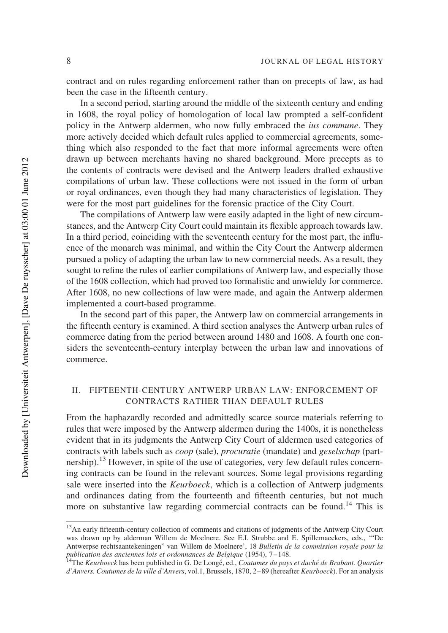contract and on rules regarding enforcement rather than on precepts of law, as had been the case in the fifteenth century.

In a second period, starting around the middle of the sixteenth century and ending in 1608, the royal policy of homologation of local law prompted a self-confident policy in the Antwerp aldermen, who now fully embraced the ius commune. They more actively decided which default rules applied to commercial agreements, something which also responded to the fact that more informal agreements were often drawn up between merchants having no shared background. More precepts as to the contents of contracts were devised and the Antwerp leaders drafted exhaustive compilations of urban law. These collections were not issued in the form of urban or royal ordinances, even though they had many characteristics of legislation. They were for the most part guidelines for the forensic practice of the City Court.

The compilations of Antwerp law were easily adapted in the light of new circumstances, and the Antwerp City Court could maintain its flexible approach towards law. In a third period, coinciding with the seventeenth century for the most part, the influence of the monarch was minimal, and within the City Court the Antwerp aldermen pursued a policy of adapting the urban law to new commercial needs. As a result, they sought to refine the rules of earlier compilations of Antwerp law, and especially those of the 1608 collection, which had proved too formalistic and unwieldy for commerce. After 1608, no new collections of law were made, and again the Antwerp aldermen implemented a court-based programme.

In the second part of this paper, the Antwerp law on commercial arrangements in the fifteenth century is examined. A third section analyses the Antwerp urban rules of commerce dating from the period between around 1480 and 1608. A fourth one considers the seventeenth-century interplay between the urban law and innovations of commerce.

## II. FIFTEENTH-CENTURY ANTWERP URBAN LAW: ENFORCEMENT OF CONTRACTS RATHER THAN DEFAULT RULES

From the haphazardly recorded and admittedly scarce source materials referring to rules that were imposed by the Antwerp aldermen during the 1400s, it is nonetheless evident that in its judgments the Antwerp City Court of aldermen used categories of contracts with labels such as coop (sale), procuratie (mandate) and geselschap (partnership).<sup>13</sup> However, in spite of the use of categories, very few default rules concerning contracts can be found in the relevant sources. Some legal provisions regarding sale were inserted into the *Keurboeck*, which is a collection of Antwerp judgments and ordinances dating from the fourteenth and fifteenth centuries, but not much more on substantive law regarding commercial contracts can be found.<sup>14</sup> This is

<sup>&</sup>lt;sup>13</sup>An early fifteenth-century collection of comments and citations of judgments of the Antwerp City Court was drawn up by alderman Willem de Moelnere. See E.I. Strubbe and E. Spillemaeckers, eds., '"De Antwerpse rechtsaantekeningen" van Willem de Moelnere', 18 Bulletin de la commission royale pour la publication des anciennes lois et ordonnances de Belgique (1954), 7-148.<br><sup>14</sup>The Keurboeck has been published in G. De Longé, ed., Coutumes du pays et duché de Brabant. Quartier

d'Anvers. Coutumes de la ville d'Anvers, vol.1, Brussels, 1870, 2– 89 (hereafter Keurboeck). For an analysis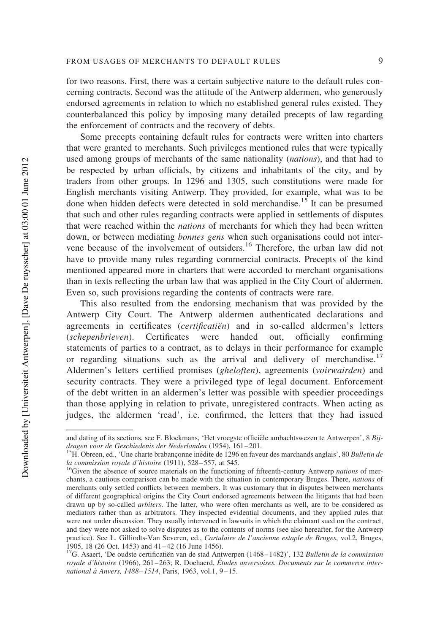for two reasons. First, there was a certain subjective nature to the default rules concerning contracts. Second was the attitude of the Antwerp aldermen, who generously endorsed agreements in relation to which no established general rules existed. They counterbalanced this policy by imposing many detailed precepts of law regarding the enforcement of contracts and the recovery of debts.

Some precepts containing default rules for contracts were written into charters that were granted to merchants. Such privileges mentioned rules that were typically used among groups of merchants of the same nationality (nations), and that had to be respected by urban officials, by citizens and inhabitants of the city, and by traders from other groups. In 1296 and 1305, such constitutions were made for English merchants visiting Antwerp. They provided, for example, what was to be done when hidden defects were detected in sold merchandise.<sup>15</sup> It can be presumed that such and other rules regarding contracts were applied in settlements of disputes that were reached within the nations of merchants for which they had been written down, or between mediating bonnes gens when such organisations could not intervene because of the involvement of outsiders.<sup>16</sup> Therefore, the urban law did not have to provide many rules regarding commercial contracts. Precepts of the kind mentioned appeared more in charters that were accorded to merchant organisations than in texts reflecting the urban law that was applied in the City Court of aldermen. Even so, such provisions regarding the contents of contracts were rare.

This also resulted from the endorsing mechanism that was provided by the Antwerp City Court. The Antwerp aldermen authenticated declarations and agreements in certificates  $(c$ ertificatien) and in so-called aldermen's letters (schepenbrieven). Certificates were handed out, officially confirming statements of parties to a contract, as to delays in their performance for example or regarding situations such as the arrival and delivery of merchandise.<sup>17</sup> Aldermen's letters certified promises (gheloften), agreements (voirwairden) and security contracts. They were a privileged type of legal document. Enforcement of the debt written in an aldermen's letter was possible with speedier proceedings than those applying in relation to private, unregistered contracts. When acting as judges, the aldermen 'read', i.e. confirmed, the letters that they had issued

and dating of its sections, see F. Blockmans, 'Het vroegste officiële ambachtswezen te Antwerpen', 8 Bijdragen voor de Geschiedenis der Nederlanden (1954), 161– 201.

<sup>&</sup>lt;sup>15</sup>H. Obreen, ed., 'Une charte brabanconne inédite de 1296 en faveur des marchands anglais', 80 Bulletin de la commission royale d'histoire (1911), 528–557, at 545.

 $16$  Given the absence of source materials on the functioning of fifteenth-century Antwerp *nations* of merchants, a cautious comparison can be made with the situation in contemporary Bruges. There, nations of merchants only settled conflicts between members. It was customary that in disputes between merchants of different geographical origins the City Court endorsed agreements between the litigants that had been drawn up by so-called arbiters. The latter, who were often merchants as well, are to be considered as mediators rather than as arbitrators. They inspected evidential documents, and they applied rules that were not under discussion. They usually intervened in lawsuits in which the claimant sued on the contract, and they were not asked to solve disputes as to the contents of norms (see also hereafter, for the Antwerp practice). See L. Gilliodts-Van Severen, ed., Cartulaire de l'ancienne estaple de Bruges, vol.2, Bruges, 1905, 18 (26 Oct. 1453) and 41–42 (16 June 1456).

<sup>&</sup>lt;sup>17</sup>G. Asaert, 'De oudste certificatiën van de stad Antwerpen (1468–1482)', 132 Bulletin de la commission royale d'histoire (1966), 261-263; R. Doehaerd, Études anversoises. Documents sur le commerce international à Anvers, 1488-1514, Paris, 1963, vol.1, 9-15.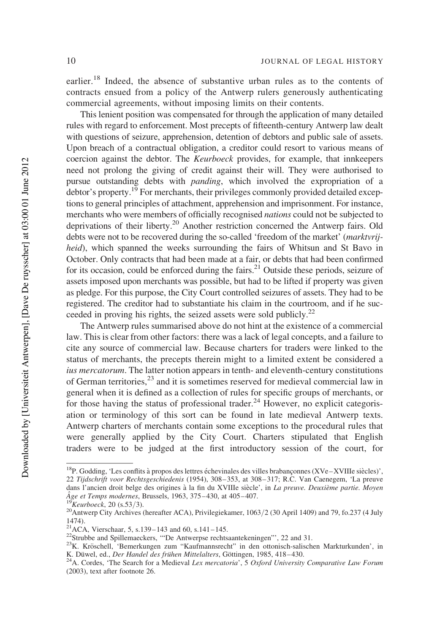earlier.<sup>18</sup> Indeed, the absence of substantive urban rules as to the contents of contracts ensued from a policy of the Antwerp rulers generously authenticating commercial agreements, without imposing limits on their contents.

This lenient position was compensated for through the application of many detailed rules with regard to enforcement. Most precepts of fifteenth-century Antwerp law dealt with questions of seizure, apprehension, detention of debtors and public sale of assets. Upon breach of a contractual obligation, a creditor could resort to various means of coercion against the debtor. The Keurboeck provides, for example, that innkeepers need not prolong the giving of credit against their will. They were authorised to pursue outstanding debts with panding, which involved the expropriation of a  $\frac{1}{9}$  debtor's property.<sup>19</sup> For merchants, their privileges commonly provided detailed exceptions to general principles of attachment, apprehension and imprisonment. For instance, merchants who were members of officially recognised nations could not be subjected to deprivations of their liberty.20 Another restriction concerned the Antwerp fairs. Old debts were not to be recovered during the so-called 'freedom of the market' (marktvrijheid), which spanned the weeks surrounding the fairs of Whitsun and St Bavo in October. Only contracts that had been made at a fair, or debts that had been confirmed for its occasion, could be enforced during the fairs.<sup>21</sup> Outside these periods, seizure of assets imposed upon merchants was possible, but had to be lifted if property was given as pledge. For this purpose, the City Court controlled seizures of assets. They had to be registered. The creditor had to substantiate his claim in the courtroom, and if he succeeded in proving his rights, the seized assets were sold publicly.<sup>22</sup>

The Antwerp rules summarised above do not hint at the existence of a commercial law. This is clear from other factors: there was a lack of legal concepts, and a failure to cite any source of commercial law. Because charters for traders were linked to the status of merchants, the precepts therein might to a limited extent be considered a ius mercatorum. The latter notion appears in tenth- and eleventh-century constitutions of German territories,<sup>23</sup> and it is sometimes reserved for medieval commercial law in general when it is defined as a collection of rules for specific groups of merchants, or for those having the status of professional trader.<sup>24</sup> However, no explicit categorisation or terminology of this sort can be found in late medieval Antwerp texts. Antwerp charters of merchants contain some exceptions to the procedural rules that were generally applied by the City Court. Charters stipulated that English traders were to be judged at the first introductory session of the court, for

 $^{18}P$ . Godding, 'Les conflits à propos des lettres échevinales des villes brabançonnes (XVe-XVIIIe siècles)', 22 Tijdschrift voor Rechtsgeschiedenis (1954), 308–353, at 308– 317; R.C. Van Caenegem, 'La preuve dans l'ancien droit belge des origines à la fin du XVIIIe siècle', in La preuve. Deuxième partie. Moyen  $\hat{A}$ ge et Temps modernes, Brussels, 1963, 375–430, at 405–407.

 $\mathcal{B}_{Keurboeck, 20 (s.53/3).}$ 

<sup>&</sup>lt;sup>20</sup>Antwerp City Archives (hereafter ACA), Privilegiekamer, 1063/2 (30 April 1409) and 79, fo.237 (4 July 1474).<br><sup>21</sup>ACA, Vierschaar, 5, s.139–143 and 60, s.141–145.

<sup>&</sup>lt;sup>22</sup>Strubbe and Spillemaeckers, "De Antwerpse rechtsaantekeningen"', 22 and 31.

<sup>&</sup>lt;sup>23</sup>K. Kröschell, 'Bemerkungen zum "Kaufmannsrecht" in den ottonisch-salischen Markturkunden', in K. Düwel, ed., *Der Handel des frühen Mittelalters*, Göttingen, 1985, 418–430.

<sup>&</sup>lt;sup>24</sup>A. Cordes, 'The Search for a Medieval Lex mercatoria', 5 Oxford University Comparative Law Forum (2003), text after footnote 26.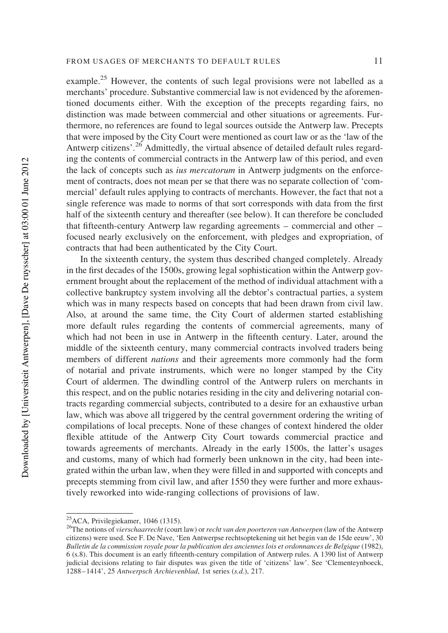example.<sup>25</sup> However, the contents of such legal provisions were not labelled as a merchants' procedure. Substantive commercial law is not evidenced by the aforementioned documents either. With the exception of the precepts regarding fairs, no distinction was made between commercial and other situations or agreements. Furthermore, no references are found to legal sources outside the Antwerp law. Precepts that were imposed by the City Court were mentioned as court law or as the 'law of the Antwerp citizens'.<sup>26</sup> Admittedly, the virtual absence of detailed default rules regarding the contents of commercial contracts in the Antwerp law of this period, and even the lack of concepts such as ius mercatorum in Antwerp judgments on the enforcement of contracts, does not mean per se that there was no separate collection of 'commercial' default rules applying to contracts of merchants. However, the fact that not a single reference was made to norms of that sort corresponds with data from the first half of the sixteenth century and thereafter (see below). It can therefore be concluded that fifteenth-century Antwerp law regarding agreements – commercial and other – focused nearly exclusively on the enforcement, with pledges and expropriation, of contracts that had been authenticated by the City Court.

In the sixteenth century, the system thus described changed completely. Already in the first decades of the 1500s, growing legal sophistication within the Antwerp government brought about the replacement of the method of individual attachment with a collective bankruptcy system involving all the debtor's contractual parties, a system which was in many respects based on concepts that had been drawn from civil law. Also, at around the same time, the City Court of aldermen started establishing more default rules regarding the contents of commercial agreements, many of which had not been in use in Antwerp in the fifteenth century. Later, around the middle of the sixteenth century, many commercial contracts involved traders being members of different nations and their agreements more commonly had the form of notarial and private instruments, which were no longer stamped by the City Court of aldermen. The dwindling control of the Antwerp rulers on merchants in this respect, and on the public notaries residing in the city and delivering notarial contracts regarding commercial subjects, contributed to a desire for an exhaustive urban law, which was above all triggered by the central government ordering the writing of compilations of local precepts. None of these changes of context hindered the older flexible attitude of the Antwerp City Court towards commercial practice and towards agreements of merchants. Already in the early 1500s, the latter's usages and customs, many of which had formerly been unknown in the city, had been integrated within the urban law, when they were filled in and supported with concepts and precepts stemming from civil law, and after 1550 they were further and more exhaustively reworked into wide-ranging collections of provisions of law.

<sup>25</sup>ACA, Privilegiekamer, 1046 (1315).

<sup>&</sup>lt;sup>26</sup>The notions of vierschaarrecht (court law) or recht van den poorteren van Antwerpen (law of the Antwerp citizens) were used. See F. De Nave, 'Een Antwerpse rechtsoptekening uit het begin van de 15de eeuw', 30 Bulletin de la commission royale pour la publication des anciennes lois et ordonnances de Belgique (1982), 6 (s.8). This document is an early fifteenth-century compilation of Antwerp rules. A 1390 list of Antwerp judicial decisions relating to fair disputes was given the title of 'citizens' law'. See 'Clementeynboeck, 1288–1414', 25 Antwerpsch Archievenblad, 1st series (s.d.), 217.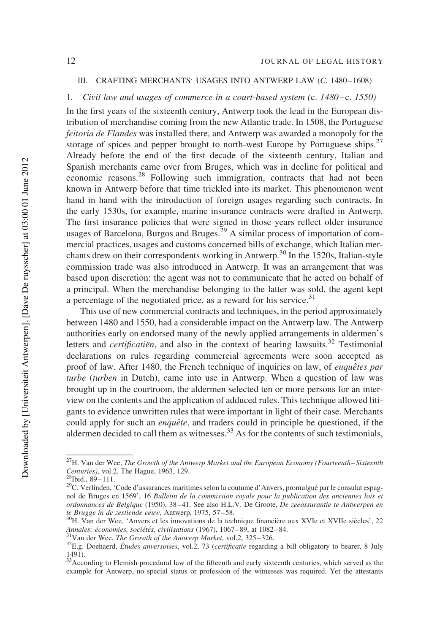#### III. CRAFTING MERCHANTS' USAGES INTO ANTWERP LAW (C. 1480–1608)

### 1. Civil law and usages of commerce in a court-based system (c. 1480–c. 1550)

In the first years of the sixteenth century, Antwerp took the lead in the European distribution of merchandise coming from the new Atlantic trade. In 1508, the Portuguese feitoria de Flandes was installed there, and Antwerp was awarded a monopoly for the storage of spices and pepper brought to north-west Europe by Portuguese ships.<sup>27</sup> Already before the end of the first decade of the sixteenth century, Italian and Spanish merchants came over from Bruges, which was in decline for political and economic reasons.<sup>28</sup> Following such immigration, contracts that had not been known in Antwerp before that time trickled into its market. This phenomenon went hand in hand with the introduction of foreign usages regarding such contracts. In the early 1530s, for example, marine insurance contracts were drafted in Antwerp. The first insurance policies that were signed in those years reflect older insurance usages of Barcelona, Burgos and Bruges.<sup>29</sup> A similar process of importation of commercial practices, usages and customs concerned bills of exchange, which Italian merchants drew on their correspondents working in Antwerp.<sup>30</sup> In the 1520s, Italian-style commission trade was also introduced in Antwerp. It was an arrangement that was based upon discretion: the agent was not to communicate that he acted on behalf of a principal. When the merchandise belonging to the latter was sold, the agent kept a percentage of the negotiated price, as a reward for his service. $31$ 

This use of new commercial contracts and techniques, in the period approximately between 1480 and 1550, had a considerable impact on the Antwerp law. The Antwerp authorities early on endorsed many of the newly applied arrangements in aldermen's letters and *certificatien*, and also in the context of hearing lawsuits.<sup>32</sup> Testimonial declarations on rules regarding commercial agreements were soon accepted as proof of law. After 1480, the French technique of inquiries on law, of *enquêtes par* turbe (turben in Dutch), came into use in Antwerp. When a question of law was brought up in the courtroom, the aldermen selected ten or more persons for an interview on the contents and the application of adduced rules. This technique allowed litigants to evidence unwritten rules that were important in light of their case. Merchants could apply for such an *enquête*, and traders could in principle be questioned, if the aldermen decided to call them as witnesses.<sup>33</sup> As for the contents of such testimonials,

 $^{27}$ H. Van der Wee, The Growth of the Antwerp Market and the European Economy (Fourteenth–Sixteenth Centuries), vol.2, The Hague, 1963, 129.

 $^{28}$ Ibid., 89-111.

<sup>&</sup>lt;sup>29</sup>C. Verlinden, 'Code d'assurances maritimes selon la coutume d'Anvers, promulgué par le consulat espagnol de Bruges en 1569', 16 Bulletin de la commission royale pour la publication des anciennes lois et ordonnances de Belgique (1950), 38-41. See also H.L.V. De Groote, De zeeassurantie te Antwerpen en te Brugge in de zestiende eeuw, Antwerp, 1975, 57–58.

<sup>&</sup>lt;sup>30</sup>H. Van der Wee, 'Anvers et les innovations de la technique financière aux XVIe et XVIIe siècles', 22 Annales: économies, sociétés, civilisations (1967), 1067–89, at 1082–84.

 $31$ Van der Wee, The Growth of the Antwerp Market, vol.2, 325–326.

 $32E.g.$  Doehaerd, *Études anversoises*, vol.2, 73 (certificatie regarding a bill obligatory to bearer, 8 July 1491).

<sup>&</sup>lt;sup>33</sup>According to Flemish procedural law of the fifteenth and early sixteenth centuries, which served as the example for Antwerp, no special status or profession of the witnesses was required. Yet the attestants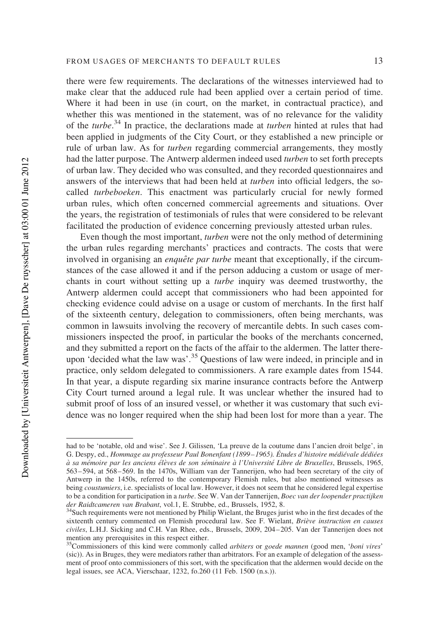there were few requirements. The declarations of the witnesses interviewed had to make clear that the adduced rule had been applied over a certain period of time. Where it had been in use (in court, on the market, in contractual practice), and whether this was mentioned in the statement, was of no relevance for the validity of the turbe.<sup>34</sup> In practice, the declarations made at turben hinted at rules that had been applied in judgments of the City Court, or they established a new principle or rule of urban law. As for turben regarding commercial arrangements, they mostly had the latter purpose. The Antwerp aldermen indeed used turben to set forth precepts of urban law. They decided who was consulted, and they recorded questionnaires and answers of the interviews that had been held at turben into official ledgers, the socalled turbeboeken. This enactment was particularly crucial for newly formed urban rules, which often concerned commercial agreements and situations. Over the years, the registration of testimonials of rules that were considered to be relevant facilitated the production of evidence concerning previously attested urban rules.

Even though the most important, turben were not the only method of determining the urban rules regarding merchants' practices and contracts. The costs that were involved in organising an *enquête par turbe* meant that exceptionally, if the circumstances of the case allowed it and if the person adducing a custom or usage of merchants in court without setting up a turbe inquiry was deemed trustworthy, the Antwerp aldermen could accept that commissioners who had been appointed for checking evidence could advise on a usage or custom of merchants. In the first half of the sixteenth century, delegation to commissioners, often being merchants, was common in lawsuits involving the recovery of mercantile debts. In such cases commissioners inspected the proof, in particular the books of the merchants concerned, and they submitted a report on the facts of the affair to the aldermen. The latter thereupon 'decided what the law was'.<sup>35</sup> Questions of law were indeed, in principle and in practice, only seldom delegated to commissioners. A rare example dates from 1544. In that year, a dispute regarding six marine insurance contracts before the Antwerp City Court turned around a legal rule. It was unclear whether the insured had to submit proof of loss of an insured vessel, or whether it was customary that such evidence was no longer required when the ship had been lost for more than a year. The

had to be 'notable, old and wise'. See J. Gilissen, 'La preuve de la coutume dans l'ancien droit belge', in G. Despy, ed., Hommage au professeur Paul Bonenfant (1899–1965). Études d'histoire médiévale dédiées à sa mémoire par les anciens élèves de son séminaire à l'Université Libre de Bruxelles, Brussels, 1965, 563 –594, at 568– 569. In the 1470s, William van der Tannerijen, who had been secretary of the city of Antwerp in the 1450s, referred to the contemporary Flemish rules, but also mentioned witnesses as being coustumiers, i.e. specialists of local law. However, it does not seem that he considered legal expertise to be a condition for participation in a turbe. See W. Van der Tannerijen, Boec van der loopender practijken der Raidtcameren van Brabant, vol.1, E. Strubbe, ed., Brussels, 1952, 8.

<sup>&</sup>lt;sup>34</sup>Such requirements were not mentioned by Philip Wielant, the Bruges jurist who in the first decades of the sixteenth century commented on Flemish procedural law. See F. Wielant, Briève instruction en causes civiles, L.H.J. Sicking and C.H. Van Rhee, eds., Brussels, 2009, 204– 205. Van der Tannerijen does not mention any prerequisites in this respect either.

<sup>&</sup>lt;sup>35</sup>Commissioners of this kind were commonly called *arbiters* or goede mannen (good men, 'boni vires' (sic)). As in Bruges, they were mediators rather than arbitrators. For an example of delegation of the assessment of proof onto commissioners of this sort, with the specification that the aldermen would decide on the legal issues, see ACA, Vierschaar, 1232, fo.260 (11 Feb. 1500 (n.s.)).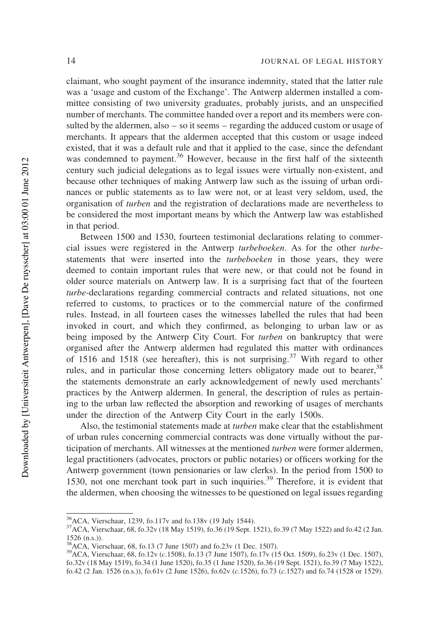claimant, who sought payment of the insurance indemnity, stated that the latter rule was a 'usage and custom of the Exchange'. The Antwerp aldermen installed a committee consisting of two university graduates, probably jurists, and an unspecified number of merchants. The committee handed over a report and its members were consulted by the aldermen, also – so it seems – regarding the adduced custom or usage of merchants. It appears that the aldermen accepted that this custom or usage indeed existed, that it was a default rule and that it applied to the case, since the defendant was condemned to payment.<sup>36</sup> However, because in the first half of the sixteenth century such judicial delegations as to legal issues were virtually non-existent, and because other techniques of making Antwerp law such as the issuing of urban ordinances or public statements as to law were not, or at least very seldom, used, the organisation of turben and the registration of declarations made are nevertheless to be considered the most important means by which the Antwerp law was established in that period.

Between 1500 and 1530, fourteen testimonial declarations relating to commercial issues were registered in the Antwerp turbeboeken. As for the other turbestatements that were inserted into the turbeboeken in those years, they were deemed to contain important rules that were new, or that could not be found in older source materials on Antwerp law. It is a surprising fact that of the fourteen turbe-declarations regarding commercial contracts and related situations, not one referred to customs, to practices or to the commercial nature of the confirmed rules. Instead, in all fourteen cases the witnesses labelled the rules that had been invoked in court, and which they confirmed, as belonging to urban law or as being imposed by the Antwerp City Court. For *turben* on bankruptcy that were organised after the Antwerp aldermen had regulated this matter with ordinances of 1516 and 1518 (see hereafter), this is not surprising.<sup>37</sup> With regard to other rules, and in particular those concerning letters obligatory made out to bearer,<sup>38</sup> the statements demonstrate an early acknowledgement of newly used merchants' practices by the Antwerp aldermen. In general, the description of rules as pertaining to the urban law reflected the absorption and reworking of usages of merchants under the direction of the Antwerp City Court in the early 1500s.

Also, the testimonial statements made at *turben* make clear that the establishment of urban rules concerning commercial contracts was done virtually without the participation of merchants. All witnesses at the mentioned turben were former aldermen, legal practitioners (advocates, proctors or public notaries) or officers working for the Antwerp government (town pensionaries or law clerks). In the period from 1500 to 1530, not one merchant took part in such inquiries.<sup>39</sup> Therefore, it is evident that the aldermen, when choosing the witnesses to be questioned on legal issues regarding

<sup>36</sup>ACA, Vierschaar, 1239, fo.117v and fo.138v (19 July 1544).

<sup>37</sup>ACA, Vierschaar, 68, fo.32v (18 May 1519), fo.36 (19 Sept. 1521), fo.39 (7 May 1522) and fo.42 (2 Jan. 1526 (n.s.)).

<sup>38</sup>ACA, Vierschaar, 68, fo.13 (7 June 1507) and fo.23v (1 Dec. 1507).

<sup>39</sup>ACA, Vierschaar, 68, fo.12v (c.1508), fo.13 (7 June 1507), fo.17v (15 Oct. 1509), fo.23v (1 Dec. 1507), fo.32v (18 May 1519), fo.34 (1 June 1520), fo.35 (1 June 1520), fo.36 (19 Sept. 1521), fo.39 (7 May 1522), fo.42 (2 Jan. 1526 (n.s.)), fo.61v (2 June 1526), fo.62v (c.1526), fo.73 (c.1527) and fo.74 (1528 or 1529).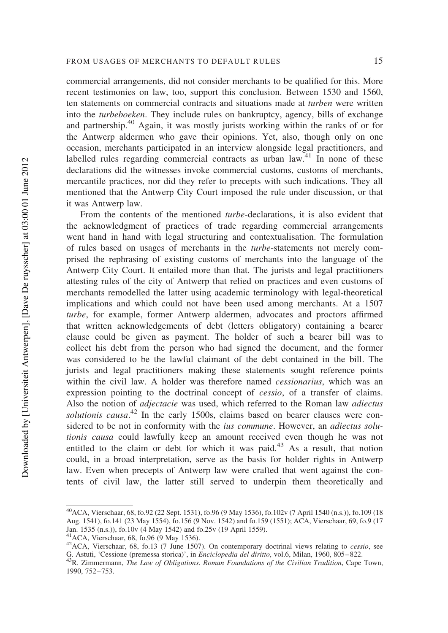commercial arrangements, did not consider merchants to be qualified for this. More recent testimonies on law, too, support this conclusion. Between 1530 and 1560, ten statements on commercial contracts and situations made at turben were written into the turbeboeken. They include rules on bankruptcy, agency, bills of exchange and partnership.<sup>40</sup> Again, it was mostly jurists working within the ranks of or for the Antwerp aldermen who gave their opinions. Yet, also, though only on one occasion, merchants participated in an interview alongside legal practitioners, and labelled rules regarding commercial contracts as urban  $law<sup>41</sup>$ . In none of these declarations did the witnesses invoke commercial customs, customs of merchants, mercantile practices, nor did they refer to precepts with such indications. They all mentioned that the Antwerp City Court imposed the rule under discussion, or that it was Antwerp law.

From the contents of the mentioned turbe-declarations, it is also evident that the acknowledgment of practices of trade regarding commercial arrangements went hand in hand with legal structuring and contextualisation. The formulation of rules based on usages of merchants in the turbe-statements not merely comprised the rephrasing of existing customs of merchants into the language of the Antwerp City Court. It entailed more than that. The jurists and legal practitioners attesting rules of the city of Antwerp that relied on practices and even customs of merchants remodelled the latter using academic terminology with legal-theoretical implications and which could not have been used among merchants. At a 1507 turbe, for example, former Antwerp aldermen, advocates and proctors affirmed that written acknowledgements of debt (letters obligatory) containing a bearer clause could be given as payment. The holder of such a bearer bill was to collect his debt from the person who had signed the document, and the former was considered to be the lawful claimant of the debt contained in the bill. The jurists and legal practitioners making these statements sought reference points within the civil law. A holder was therefore named cessionarius, which was an expression pointing to the doctrinal concept of cessio, of a transfer of claims. Also the notion of adjectacie was used, which referred to the Roman law adiectus solutionis causa.<sup>42</sup> In the early 1500s, claims based on bearer clauses were considered to be not in conformity with the *ius commune*. However, an *adiectus solu*tionis causa could lawfully keep an amount received even though he was not entitled to the claim or debt for which it was paid.<sup>43</sup> As a result, that notion could, in a broad interpretation, serve as the basis for holder rights in Antwerp law. Even when precepts of Antwerp law were crafted that went against the contents of civil law, the latter still served to underpin them theoretically and

<sup>40</sup>ACA, Vierschaar, 68, fo.92 (22 Sept. 1531), fo.96 (9 May 1536), fo.102v (7 April 1540 (n.s.)), fo.109 (18 Aug. 1541), fo.141 (23 May 1554), fo.156 (9 Nov. 1542) and fo.159 (1551); ACA, Vierschaar, 69, fo.9 (17 Jan. 1535 (n.s.)), fo.10v (4 May 1542) and fo.25v (19 April 1559).

 $42$ ACA, Vierschaar, 68, fo.13 (7 June 1507). On contemporary doctrinal views relating to *cessio*, see G. Astuti, 'Cessione (premessa storica)', in Enciclopedia del diritto, vol.6, Milan, 1960, 805– 822.

<sup>&</sup>lt;sup>43</sup>R. Zimmermann, The Law of Obligations. Roman Foundations of the Civilian Tradition, Cape Town, 1990, 752– 753.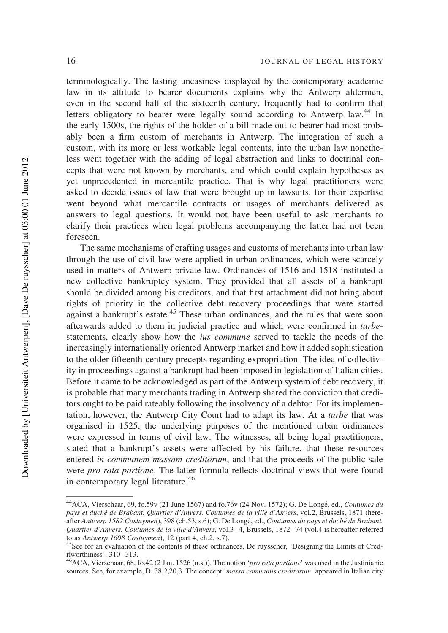terminologically. The lasting uneasiness displayed by the contemporary academic law in its attitude to bearer documents explains why the Antwerp aldermen, even in the second half of the sixteenth century, frequently had to confirm that letters obligatory to bearer were legally sound according to Antwerp law.<sup>44</sup> In the early 1500s, the rights of the holder of a bill made out to bearer had most probably been a firm custom of merchants in Antwerp. The integration of such a custom, with its more or less workable legal contents, into the urban law nonetheless went together with the adding of legal abstraction and links to doctrinal concepts that were not known by merchants, and which could explain hypotheses as yet unprecedented in mercantile practice. That is why legal practitioners were asked to decide issues of law that were brought up in lawsuits, for their expertise went beyond what mercantile contracts or usages of merchants delivered as answers to legal questions. It would not have been useful to ask merchants to clarify their practices when legal problems accompanying the latter had not been foreseen.

The same mechanisms of crafting usages and customs of merchants into urban law through the use of civil law were applied in urban ordinances, which were scarcely used in matters of Antwerp private law. Ordinances of 1516 and 1518 instituted a new collective bankruptcy system. They provided that all assets of a bankrupt should be divided among his creditors, and that first attachment did not bring about rights of priority in the collective debt recovery proceedings that were started against a bankrupt's estate.<sup>45</sup> These urban ordinances, and the rules that were soon afterwards added to them in judicial practice and which were confirmed in turbestatements, clearly show how the ius commune served to tackle the needs of the increasingly internationally oriented Antwerp market and how it added sophistication to the older fifteenth-century precepts regarding expropriation. The idea of collectivity in proceedings against a bankrupt had been imposed in legislation of Italian cities. Before it came to be acknowledged as part of the Antwerp system of debt recovery, it is probable that many merchants trading in Antwerp shared the conviction that creditors ought to be paid rateably following the insolvency of a debtor. For its implementation, however, the Antwerp City Court had to adapt its law. At a turbe that was organised in 1525, the underlying purposes of the mentioned urban ordinances were expressed in terms of civil law. The witnesses, all being legal practitioners, stated that a bankrupt's assets were affected by his failure, that these resources entered in communem massam creditorum, and that the proceeds of the public sale were *pro rata portione*. The latter formula reflects doctrinal views that were found in contemporary legal literature.<sup>46</sup>

<sup>&</sup>lt;sup>44</sup> ACA. Vierschaar. 69, fo.59v (21 June 1567) and fo.76v (24 Nov. 1572); G. De Longé, ed., Coutumes du pays et duché de Brabant. Quartier d'Anvers. Coutumes de la ville d'Anvers, vol.2, Brussels, 1871 (hereafter Antwerp 1582 Costuymen), 398 (ch.53, s.6); G. De Longé, ed., Coutumes du pays et duché de Brabant. Quartier d'Anvers. Coutumes de la ville d'Anvers, vol.3–4, Brussels, 1872–74 (vol.4 is hereafter referred to as Antwerp 1608 Costuymen), 12 (part 4, ch.2, s.7).

<sup>&</sup>lt;sup>45</sup>See for an evaluation of the contents of these ordinances, De ruysscher, 'Designing the Limits of Creditworthiness', 310–313.

<sup>&</sup>lt;sup>46</sup>ACA, Vierschaar, 68, fo.42 (2 Jan. 1526 (n.s.)). The notion '*pro rata portione*' was used in the Justinianic sources. See, for example, D. 38,2,20,3. The concept 'massa communis creditorum' appeared in Italian city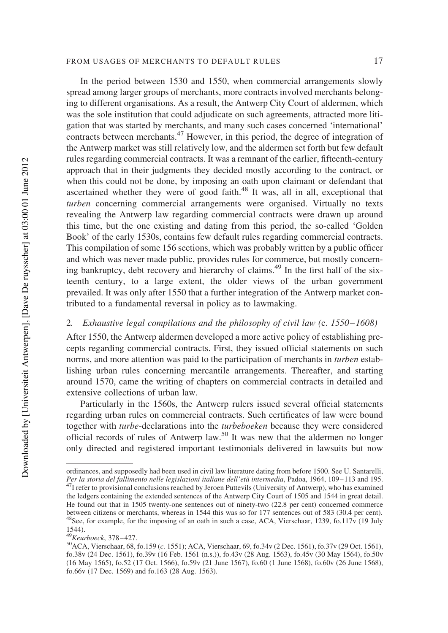#### FROM USAGES OF MERCHANTS TO DEFAULT RULES 17

In the period between 1530 and 1550, when commercial arrangements slowly spread among larger groups of merchants, more contracts involved merchants belonging to different organisations. As a result, the Antwerp City Court of aldermen, which was the sole institution that could adjudicate on such agreements, attracted more litigation that was started by merchants, and many such cases concerned 'international' contracts between merchants.<sup>47</sup> However, in this period, the degree of integration of the Antwerp market was still relatively low, and the aldermen set forth but few default rules regarding commercial contracts. It was a remnant of the earlier, fifteenth-century approach that in their judgments they decided mostly according to the contract, or when this could not be done, by imposing an oath upon claimant or defendant that ascertained whether they were of good faith. $48$  It was, all in all, exceptional that turben concerning commercial arrangements were organised. Virtually no texts revealing the Antwerp law regarding commercial contracts were drawn up around this time, but the one existing and dating from this period, the so-called 'Golden Book' of the early 1530s, contains few default rules regarding commercial contracts. This compilation of some 156 sections, which was probably written by a public officer and which was never made public, provides rules for commerce, but mostly concerning bankruptcy, debt recovery and hierarchy of claims.<sup>49</sup> In the first half of the sixteenth century, to a large extent, the older views of the urban government prevailed. It was only after 1550 that a further integration of the Antwerp market contributed to a fundamental reversal in policy as to lawmaking.

## 2. Exhaustive legal compilations and the philosophy of civil law (c. 1550–1608)

After 1550, the Antwerp aldermen developed a more active policy of establishing precepts regarding commercial contracts. First, they issued official statements on such norms, and more attention was paid to the participation of merchants in *turben* establishing urban rules concerning mercantile arrangements. Thereafter, and starting around 1570, came the writing of chapters on commercial contracts in detailed and extensive collections of urban law.

Particularly in the 1560s, the Antwerp rulers issued several official statements regarding urban rules on commercial contracts. Such certificates of law were bound together with turbe-declarations into the turbeboeken because they were considered official records of rules of Antwerp law.<sup>50</sup> It was new that the aldermen no longer only directed and registered important testimonials delivered in lawsuits but now

ordinances, and supposedly had been used in civil law literature dating from before 1500. See U. Santarelli, Per la storia del fallimento nelle legislazioni italiane dell'età intermedia, Padoa, 1964, 109–113 and 195.  $^{47}I$  refer to provisional conclusions reached by Jeroen Puttevils (University of Antwerp), who has examined the ledgers containing the extended sentences of the Antwerp City Court of 1505 and 1544 in great detail. He found out that in 1505 twenty-one sentences out of ninety-two (22.8 per cent) concerned commerce between citizens or merchants, whereas in 1544 this was so for 177 sentences out of 583 (30.4 per cent). 48See, for example, for the imposing of an oath in such a case, ACA, Vierschaar, 1239, fo.117v (19 July 1544).

<sup>49</sup>Keurboeck, 378–427.

<sup>50</sup>ACA, Vierschaar, 68, fo.159 (c. 1551); ACA, Vierschaar, 69, fo.34v (2 Dec. 1561), fo.37v (29 Oct. 1561), fo.38v (24 Dec. 1561), fo.39v (16 Feb. 1561 (n.s.)), fo.43v (28 Aug. 1563), fo.45v (30 May 1564), fo.50v (16 May 1565), fo.52 (17 Oct. 1566), fo.59v (21 June 1567), fo.60 (1 June 1568), fo.60v (26 June 1568), fo.66v (17 Dec. 1569) and fo.163 (28 Aug. 1563).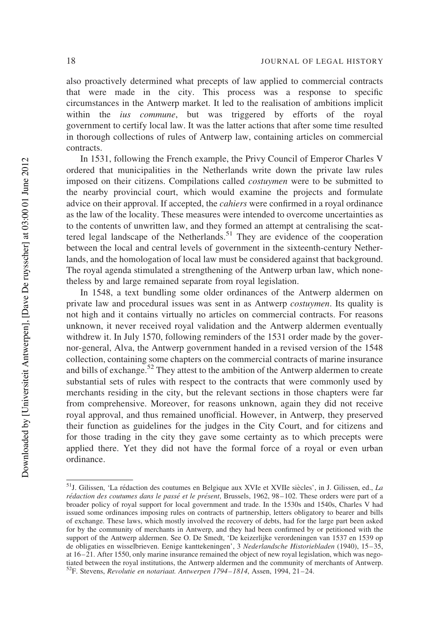also proactively determined what precepts of law applied to commercial contracts that were made in the city. This process was a response to specific circumstances in the Antwerp market. It led to the realisation of ambitions implicit within the *ius commune*, but was triggered by efforts of the royal government to certify local law. It was the latter actions that after some time resulted in thorough collections of rules of Antwerp law, containing articles on commercial contracts.

In 1531, following the French example, the Privy Council of Emperor Charles V ordered that municipalities in the Netherlands write down the private law rules imposed on their citizens. Compilations called costuymen were to be submitted to the nearby provincial court, which would examine the projects and formulate advice on their approval. If accepted, the cahiers were confirmed in a royal ordinance as the law of the locality. These measures were intended to overcome uncertainties as to the contents of unwritten law, and they formed an attempt at centralising the scattered legal landscape of the Netherlands.<sup>51</sup> They are evidence of the cooperation between the local and central levels of government in the sixteenth-century Netherlands, and the homologation of local law must be considered against that background. The royal agenda stimulated a strengthening of the Antwerp urban law, which nonetheless by and large remained separate from royal legislation.

In 1548, a text bundling some older ordinances of the Antwerp aldermen on private law and procedural issues was sent in as Antwerp costuymen. Its quality is not high and it contains virtually no articles on commercial contracts. For reasons unknown, it never received royal validation and the Antwerp aldermen eventually withdrew it. In July 1570, following reminders of the 1531 order made by the governor-general, Alva, the Antwerp government handed in a revised version of the 1548 collection, containing some chapters on the commercial contracts of marine insurance and bills of exchange.<sup>52</sup> They attest to the ambition of the Antwerp aldermen to create substantial sets of rules with respect to the contracts that were commonly used by merchants residing in the city, but the relevant sections in those chapters were far from comprehensive. Moreover, for reasons unknown, again they did not receive royal approval, and thus remained unofficial. However, in Antwerp, they preserved their function as guidelines for the judges in the City Court, and for citizens and for those trading in the city they gave some certainty as to which precepts were applied there. Yet they did not have the formal force of a royal or even urban ordinance.

 $51$ J. Gilissen, 'La rédaction des coutumes en Belgique aux XVIe et XVIIe siècles', in J. Gilissen, ed., La rédaction des coutumes dans le passé et le présent, Brussels, 1962, 98-102. These orders were part of a broader policy of royal support for local government and trade. In the 1530s and 1540s, Charles V had issued some ordinances imposing rules on contracts of partnership, letters obligatory to bearer and bills of exchange. These laws, which mostly involved the recovery of debts, had for the large part been asked for by the community of merchants in Antwerp, and they had been confirmed by or petitioned with the support of the Antwerp aldermen. See O. De Smedt, 'De keizerlijke verordeningen van 1537 en 1539 op de obligaties en wisselbrieven. Eenige kanttekeningen', 3 Nederlandsche Historiebladen (1940), 15–35, at 16–21. After 1550, only marine insurance remained the object of new royal legislation, which was negotiated between the royal institutions, the Antwerp aldermen and the community of merchants of Antwerp. 52F. Stevens, Revolutie en notariaat. Antwerpen 1794–1814, Assen, 1994, 21–24.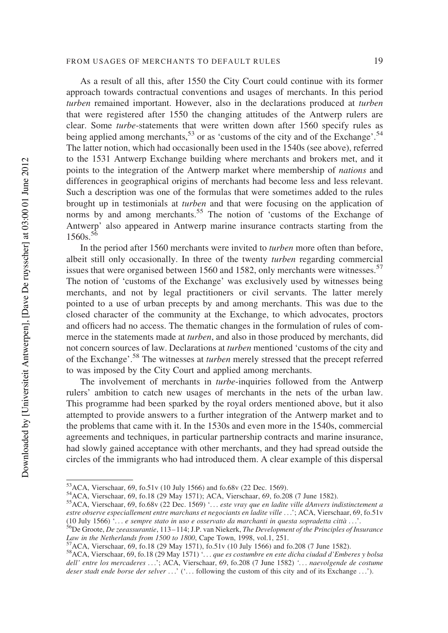As a result of all this, after 1550 the City Court could continue with its former approach towards contractual conventions and usages of merchants. In this period turben remained important. However, also in the declarations produced at turben that were registered after 1550 the changing attitudes of the Antwerp rulers are clear. Some turbe-statements that were written down after 1560 specify rules as being applied among merchants,  $53$  or as 'customs of the city and of the Exchange'.  $54$ The latter notion, which had occasionally been used in the 1540s (see above), referred to the 1531 Antwerp Exchange building where merchants and brokers met, and it points to the integration of the Antwerp market where membership of nations and differences in geographical origins of merchants had become less and less relevant. Such a description was one of the formulas that were sometimes added to the rules brought up in testimonials at turben and that were focusing on the application of norms by and among merchants.<sup>55</sup> The notion of 'customs of the Exchange of Antwerp' also appeared in Antwerp marine insurance contracts starting from the  $1560s$ <sup>56</sup>

In the period after 1560 merchants were invited to turben more often than before, albeit still only occasionally. In three of the twenty turben regarding commercial issues that were organised between 1560 and 1582, only merchants were witnesses.<sup>57</sup> The notion of 'customs of the Exchange' was exclusively used by witnesses being merchants, and not by legal practitioners or civil servants. The latter merely pointed to a use of urban precepts by and among merchants. This was due to the closed character of the community at the Exchange, to which advocates, proctors and officers had no access. The thematic changes in the formulation of rules of commerce in the statements made at *turben*, and also in those produced by merchants, did not concern sources of law. Declarations at turben mentioned 'customs of the city and of the Exchange'.58 The witnesses at turben merely stressed that the precept referred to was imposed by the City Court and applied among merchants.

The involvement of merchants in *turbe*-inquiries followed from the Antwerp rulers' ambition to catch new usages of merchants in the nets of the urban law. This programme had been sparked by the royal orders mentioned above, but it also attempted to provide answers to a further integration of the Antwerp market and to the problems that came with it. In the 1530s and even more in the 1540s, commercial agreements and techniques, in particular partnership contracts and marine insurance, had slowly gained acceptance with other merchants, and they had spread outside the circles of the immigrants who had introduced them. A clear example of this dispersal

<sup>53</sup>ACA, Vierschaar, 69, fo.51v (10 July 1566) and fo.68v (22 Dec. 1569).

<sup>54</sup>ACA, Vierschaar, 69, fo.18 (29 May 1571); ACA, Vierschaar, 69, fo.208 (7 June 1582).

<sup>55</sup>ACA, Vierschaar, 69, fo.68v (22 Dec. 1569) '... este vray que en ladite ville dAnvers indistinctement a estre observe especiallement entre marchans et negociants en ladite ville ...'; ACA, Vierschaar, 69, fo.51v (10 July 1566) '... e sempre stato in uso e osservato da marchanti in questa sopradetta città ...'.

 $56$ De Groote, De zeeassurantie, 113–114; J.P. van Niekerk, The Development of the Principles of Insurance Law in the Netherlands from 1500 to 1800, Cape Town, 1998, vol.1, 251.

 $K/ACA$ , Vierschaar, 69, fo.18 (29 May 1571), fo.51v (10 July 1566) and fo.208 (7 June 1582).

<sup>58</sup>ACA, Vierschaar, 69, fo.18 (29 May 1571) '... que es costumbre en este dicha ciudad d'Emberes y bolsa dell' entre los mercaderes ...'; ACA, Vierschaar, 69, fo.208 (7 June 1582) '... naevolgende de costume deser stadt ende borse der selver ...' ('... following the custom of this city and of its Exchange ...').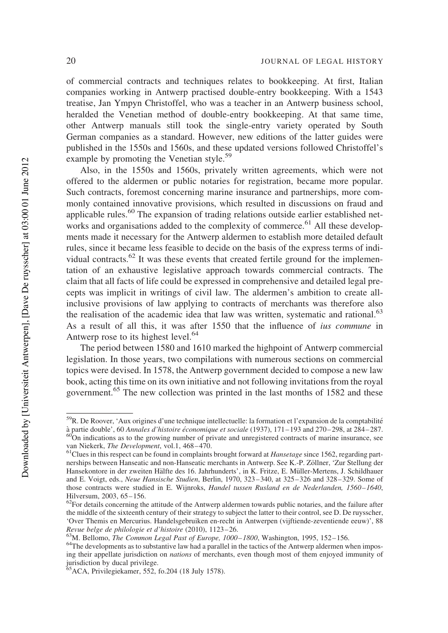of commercial contracts and techniques relates to bookkeeping. At first, Italian companies working in Antwerp practised double-entry bookkeeping. With a 1543 treatise, Jan Ympyn Christoffel, who was a teacher in an Antwerp business school, heralded the Venetian method of double-entry bookkeeping. At that same time, other Antwerp manuals still took the single-entry variety operated by South German companies as a standard. However, new editions of the latter guides were published in the 1550s and 1560s, and these updated versions followed Christoffel's example by promoting the Venetian style.<sup>59</sup>

Also, in the 1550s and 1560s, privately written agreements, which were not offered to the aldermen or public notaries for registration, became more popular. Such contracts, foremost concerning marine insurance and partnerships, more commonly contained innovative provisions, which resulted in discussions on fraud and applicable rules.<sup>60</sup> The expansion of trading relations outside earlier established networks and organisations added to the complexity of commerce.<sup>61</sup> All these developments made it necessary for the Antwerp aldermen to establish more detailed default rules, since it became less feasible to decide on the basis of the express terms of individual contracts.<sup>62</sup> It was these events that created fertile ground for the implementation of an exhaustive legislative approach towards commercial contracts. The claim that all facts of life could be expressed in comprehensive and detailed legal precepts was implicit in writings of civil law. The aldermen's ambition to create allinclusive provisions of law applying to contracts of merchants was therefore also the realisation of the academic idea that law was written, systematic and rational.<sup>63</sup> As a result of all this, it was after 1550 that the influence of ius commune in Antwerp rose to its highest level. $64$ 

The period between 1580 and 1610 marked the highpoint of Antwerp commercial legislation. In those years, two compilations with numerous sections on commercial topics were devised. In 1578, the Antwerp government decided to compose a new law book, acting this time on its own initiative and not following invitations from the royal government.<sup>65</sup> The new collection was printed in the last months of 1582 and these

 $^{63}$ M. Bellomo, The Common Legal Past of Europe, 1000–1800, Washington, 1995, 152–156.

<sup>&</sup>lt;sup>59</sup>R. De Roover, 'Aux origines d'une technique intellectuelle: la formation et l'expansion de la comptabilité à partie double', 60 Annales d'histoire économique et sociale (1937), 171–193 and 270–298, at 284–287.

 $^{60}$ On indications as to the growing number of private and unregistered contracts of marine insurance, see van Niekerk, The Development, vol.1, 468–470.

<sup>&</sup>lt;sup>61</sup>Clues in this respect can be found in complaints brought forward at *Hansetage* since 1562, regarding partnerships between Hanseatic and non-Hanseatic merchants in Antwerp. See K.-P. Zöllner, 'Zur Stellung der Hansekontore in der zweiten Hälfte des 16. Jahrhunderts', in K. Fritze, E. Müller-Mertens, J. Schildhauer and E. Voigt, eds., Neue Hansische Studien, Berlin, 1970, 323 –340, at 325–326 and 328–329. Some of those contracts were studied in E. Wijnroks, Handel tussen Rusland en de Nederlanden, 1560–1640, Hilversum, 2003, 65– 156.

<sup>&</sup>lt;sup>62</sup>For details concerning the attitude of the Antwerp aldermen towards public notaries, and the failure after the middle of the sixteenth century of their strategy to subject the latter to their control, see D. De ruysscher, 'Over Themis en Mercurius. Handelsgebruiken en-recht in Antwerpen (vijftiende-zeventiende eeuw)', 88 Revue belge de philologie et d'histoire (2010), 1123– 26.

<sup>&</sup>lt;sup>64</sup>The developments as to substantive law had a parallel in the tactics of the Antwerp aldermen when imposing their appellate jurisdiction on nations of merchants, even though most of them enjoyed immunity of jurisdiction by ducal privilege.

<sup>65</sup>ACA, Privilegiekamer, 552, fo.204 (18 July 1578).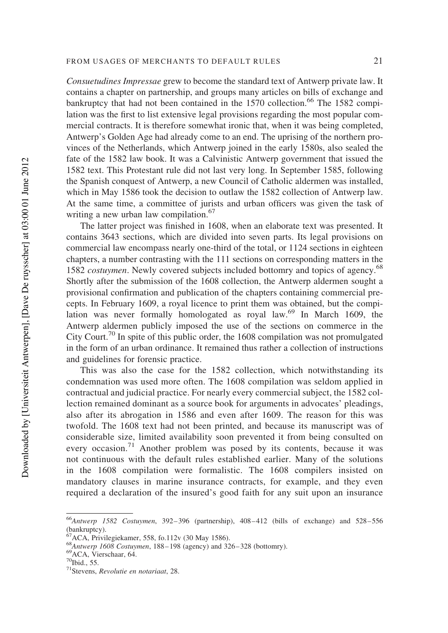Consuetudines Impressae grew to become the standard text of Antwerp private law. It contains a chapter on partnership, and groups many articles on bills of exchange and bankruptcy that had not been contained in the 1570 collection.<sup>66</sup> The 1582 compilation was the first to list extensive legal provisions regarding the most popular commercial contracts. It is therefore somewhat ironic that, when it was being completed, Antwerp's Golden Age had already come to an end. The uprising of the northern provinces of the Netherlands, which Antwerp joined in the early 1580s, also sealed the fate of the 1582 law book. It was a Calvinistic Antwerp government that issued the 1582 text. This Protestant rule did not last very long. In September 1585, following the Spanish conquest of Antwerp, a new Council of Catholic aldermen was installed, which in May 1586 took the decision to outlaw the 1582 collection of Antwerp law. At the same time, a committee of jurists and urban officers was given the task of writing a new urban law compilation.<sup>67</sup>

The latter project was finished in 1608, when an elaborate text was presented. It contains 3643 sections, which are divided into seven parts. Its legal provisions on commercial law encompass nearly one-third of the total, or 1124 sections in eighteen chapters, a number contrasting with the 111 sections on corresponding matters in the 1582 *costuymen*. Newly covered subjects included bottomry and topics of agency.<sup>68</sup> Shortly after the submission of the 1608 collection, the Antwerp aldermen sought a provisional confirmation and publication of the chapters containing commercial precepts. In February 1609, a royal licence to print them was obtained, but the compilation was never formally homologated as royal law.<sup>69</sup> In March 1609, the Antwerp aldermen publicly imposed the use of the sections on commerce in the City Court.<sup>70</sup> In spite of this public order, the  $1608$  compilation was not promulgated in the form of an urban ordinance. It remained thus rather a collection of instructions and guidelines for forensic practice.

This was also the case for the 1582 collection, which notwithstanding its condemnation was used more often. The 1608 compilation was seldom applied in contractual and judicial practice. For nearly every commercial subject, the 1582 collection remained dominant as a source book for arguments in advocates' pleadings, also after its abrogation in 1586 and even after 1609. The reason for this was twofold. The 1608 text had not been printed, and because its manuscript was of considerable size, limited availability soon prevented it from being consulted on every occasion.<sup>71</sup> Another problem was posed by its contents, because it was not continuous with the default rules established earlier. Many of the solutions in the 1608 compilation were formalistic. The 1608 compilers insisted on mandatory clauses in marine insurance contracts, for example, and they even required a declaration of the insured's good faith for any suit upon an insurance

 $^{66}$ Antwerp 1582 Costuymen, 392-396 (partnership), 408-412 (bills of exchange) and 528-556 (bankruptcy).

 $67$ ACA, Privilegiekamer, 558, fo.112v (30 May 1586).

 $^{68}$ Antwerp 1608 Costuymen, 188–198 (agency) and 326–328 (bottomry).

 $^{69}$ ACA, Vierschaar, 64.<br><sup>70</sup>Ibid., 55.

 $71$ Stevens, Revolutie en notariaat, 28.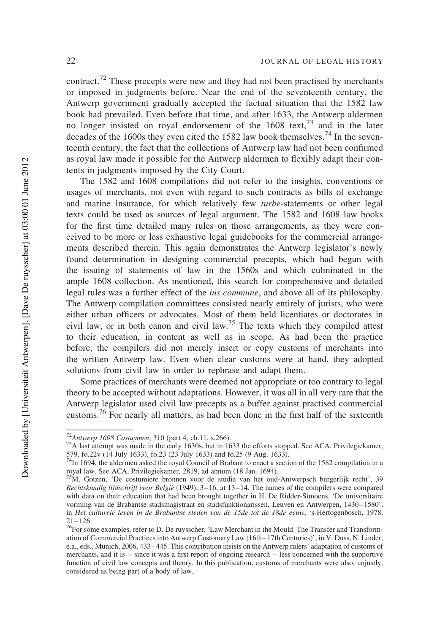contract.<sup>72</sup> These precepts were new and they had not been practised by merchants or imposed in judgments before. Near the end of the seventeenth century, the Antwerp government gradually accepted the factual situation that the 1582 law book had prevailed. Even before that time, and after 1633, the Antwerp aldermen no longer insisted on royal endorsement of the  $1608 \text{ text}$ ,  $73 \text{ and in the later}$ decades of the 1600s they even cited the 1582 law book themselves.<sup>74</sup> In the seventeenth century, the fact that the collections of Antwerp law had not been confirmed as royal law made it possible for the Antwerp aldermen to flexibly adapt their contents in judgments imposed by the City Court.

The 1582 and 1608 compilations did not refer to the insights, conventions or usages of merchants, not even with regard to such contracts as bills of exchange and marine insurance, for which relatively few turbe-statements or other legal texts could be used as sources of legal argument. The 1582 and 1608 law books for the first time detailed many rules on those arrangements, as they were conceived to be more or less exhaustive legal guidebooks for the commercial arrangements described therein. This again demonstrates the Antwerp legislator's newly found determination in designing commercial precepts, which had begun with the issuing of statements of law in the 1560s and which culminated in the ample 1608 collection. As mentioned, this search for comprehensive and detailed legal rules was a further effect of the ius commune, and above all of its philosophy. The Antwerp compilation committees consisted nearly entirely of jurists, who were either urban officers or advocates. Most of them held licentiates or doctorates in civil law, or in both canon and civil law.<sup>75</sup> The texts which they compiled attest to their education, in content as well as in scope. As had been the practice before, the compilers did not merely insert or copy customs of merchants into the written Antwerp law. Even when clear customs were at hand, they adopted solutions from civil law in order to rephrase and adapt them.

Some practices of merchants were deemed not appropriate or too contrary to legal theory to be accepted without adaptations. However, it was all in all very rare that the Antwerp legislator used civil law precepts as a buffer against practised commercial customs.<sup>76</sup> For nearly all matters, as had been done in the first half of the sixteenth

 $72$ Antwerp 1608 Costuymen, 310 (part 4, ch.11, s.266).

<sup>73</sup>A last attempt was made in the early 1630s, but in 1633 the efforts stopped. See ACA, Privilegiekamer, 579, fo.22v (14 July 1633), fo.23 (23 July 1633) and fo.25 (9 Aug. 1633).

 $74$ In 1694, the aldermen asked the royal Council of Brabant to enact a section of the 1582 compilation in a royal law. See ACA, Privilegiekamer, 2819, ad annum (18 Jan. 1694).

<sup>75</sup>M. Gotzen, 'De costumiere bronnen voor de studie van het oud-Antwerpsch burgerlijk recht', 39 Rechtskundig tijdschrift voor België (1949), 3-16, at 13-14. The names of the compilers were compared with data on their education that had been brought together in H. De Ridder-Simoens, 'De universitaire vorming van de Brabantse stadsmagistraat en stadsfunktionarissen, Leuven en Antwerpen, 1430–1580', in Het culturele leven in de Brabantse steden van de 15de tot de 18de eeuw, 's-Hertogenbosch, 1978,  $21 - 126$ .

<sup>76</sup>For some examples, refer to D. De ruysscher, 'Law Merchant in the Mould. The Transfer and Transformation of Commercial Practices into Antwerp Customary Law (16th–17th Centuries)', in V. Duss, N. Linder, e.a., eds., Munich, 2006, 433– 445. This contribution insists on the Antwerp rulers' adaptation of customs of merchants, and it is – since it was a first report of ongoing research – less concerned with the supportive function of civil law concepts and theory. In this publication, customs of merchants were also, unjustly, considered as being part of a body of law.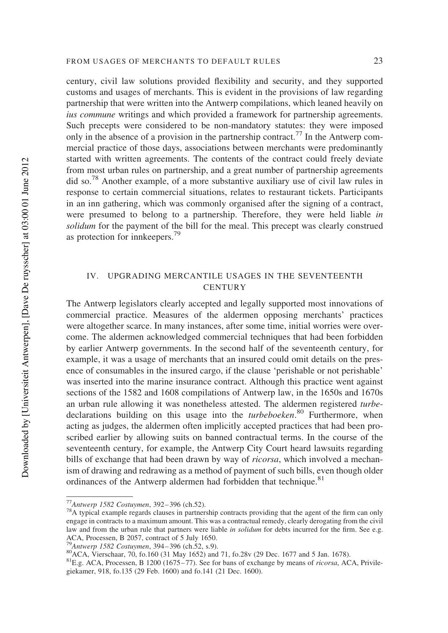century, civil law solutions provided flexibility and security, and they supported customs and usages of merchants. This is evident in the provisions of law regarding partnership that were written into the Antwerp compilations, which leaned heavily on ius commune writings and which provided a framework for partnership agreements. Such precepts were considered to be non-mandatory statutes: they were imposed only in the absence of a provision in the partnership contract.<sup>77</sup> In the Antwerp commercial practice of those days, associations between merchants were predominantly started with written agreements. The contents of the contract could freely deviate from most urban rules on partnership, and a great number of partnership agreements did so.78 Another example, of a more substantive auxiliary use of civil law rules in response to certain commercial situations, relates to restaurant tickets. Participants in an inn gathering, which was commonly organised after the signing of a contract, were presumed to belong to a partnership. Therefore, they were held liable in solidum for the payment of the bill for the meal. This precept was clearly construed as protection for innkeepers.<sup>79</sup>

## IV. UPGRADING MERCANTILE USAGES IN THE SEVENTEENTH **CENTURY**

The Antwerp legislators clearly accepted and legally supported most innovations of commercial practice. Measures of the aldermen opposing merchants' practices were altogether scarce. In many instances, after some time, initial worries were overcome. The aldermen acknowledged commercial techniques that had been forbidden by earlier Antwerp governments. In the second half of the seventeenth century, for example, it was a usage of merchants that an insured could omit details on the presence of consumables in the insured cargo, if the clause 'perishable or not perishable' was inserted into the marine insurance contract. Although this practice went against sections of the 1582 and 1608 compilations of Antwerp law, in the 1650s and 1670s an urban rule allowing it was nonetheless attested. The aldermen registered turbedeclarations building on this usage into the *turbeboeken*.<sup>80</sup> Furthermore, when acting as judges, the aldermen often implicitly accepted practices that had been proscribed earlier by allowing suits on banned contractual terms. In the course of the seventeenth century, for example, the Antwerp City Court heard lawsuits regarding bills of exchange that had been drawn by way of *ricorsa*, which involved a mechanism of drawing and redrawing as a method of payment of such bills, even though older ordinances of the Antwerp aldermen had forbidden that technique.<sup>81</sup>

 $P_{\text{Antwerp}}$  1582 Costuymen, 394–396 (ch.52, s.9).

<sup>77</sup>Antwerp 1582 Costuymen, 392– 396 (ch.52).

 $78A$  typical example regards clauses in partnership contracts providing that the agent of the firm can only engage in contracts to a maximum amount. This was a contractual remedy, clearly derogating from the civil law and from the urban rule that partners were liable in *solidum* for debts incurred for the firm. See e.g. ACA, Processen, B 2057, contract of 5 July 1650.

<sup>80&</sup>lt;br>ACA, Vierschaar, 70, fo.160 (31 May 1652) and 71, fo.28v (29 Dec. 1677 and 5 Jan. 1678).

 ${}^{81}E.g.$  ACA, Processen, B 1200 (1675–77). See for bans of exchange by means of *ricorsa*, ACA, Privilegiekamer, 918, fo.135 (29 Feb. 1600) and fo.141 (21 Dec. 1600).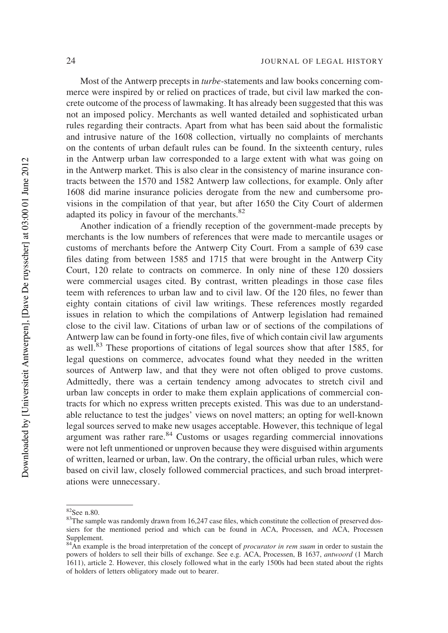Most of the Antwerp precepts in turbe-statements and law books concerning commerce were inspired by or relied on practices of trade, but civil law marked the concrete outcome of the process of lawmaking. It has already been suggested that this was not an imposed policy. Merchants as well wanted detailed and sophisticated urban rules regarding their contracts. Apart from what has been said about the formalistic and intrusive nature of the 1608 collection, virtually no complaints of merchants on the contents of urban default rules can be found. In the sixteenth century, rules in the Antwerp urban law corresponded to a large extent with what was going on in the Antwerp market. This is also clear in the consistency of marine insurance contracts between the 1570 and 1582 Antwerp law collections, for example. Only after 1608 did marine insurance policies derogate from the new and cumbersome provisions in the compilation of that year, but after 1650 the City Court of aldermen adapted its policy in favour of the merchants.<sup>82</sup>

Another indication of a friendly reception of the government-made precepts by merchants is the low numbers of references that were made to mercantile usages or customs of merchants before the Antwerp City Court. From a sample of 639 case files dating from between 1585 and 1715 that were brought in the Antwerp City Court, 120 relate to contracts on commerce. In only nine of these 120 dossiers were commercial usages cited. By contrast, written pleadings in those case files teem with references to urban law and to civil law. Of the 120 files, no fewer than eighty contain citations of civil law writings. These references mostly regarded issues in relation to which the compilations of Antwerp legislation had remained close to the civil law. Citations of urban law or of sections of the compilations of Antwerp law can be found in forty-one files, five of which contain civil law arguments as well.<sup>83</sup> These proportions of citations of legal sources show that after 1585, for legal questions on commerce, advocates found what they needed in the written sources of Antwerp law, and that they were not often obliged to prove customs. Admittedly, there was a certain tendency among advocates to stretch civil and urban law concepts in order to make them explain applications of commercial contracts for which no express written precepts existed. This was due to an understandable reluctance to test the judges' views on novel matters; an opting for well-known legal sources served to make new usages acceptable. However, this technique of legal argument was rather rare. $84$  Customs or usages regarding commercial innovations were not left unmentioned or unproven because they were disguised within arguments of written, learned or urban, law. On the contrary, the official urban rules, which were based on civil law, closely followed commercial practices, and such broad interpretations were unnecessary.

<sup>82</sup>See n.80.

<sup>&</sup>lt;sup>83</sup>The sample was randomly drawn from 16,247 case files, which constitute the collection of preserved dossiers for the mentioned period and which can be found in ACA, Processen, and ACA, Processen Supplement.

 $84\text{ Ån}$  example is the broad interpretation of the concept of *procurator in rem suam* in order to sustain the powers of holders to sell their bills of exchange. See e.g. ACA, Processen, B 1637, antwoord (1 March 1611), article 2. However, this closely followed what in the early 1500s had been stated about the rights of holders of letters obligatory made out to bearer.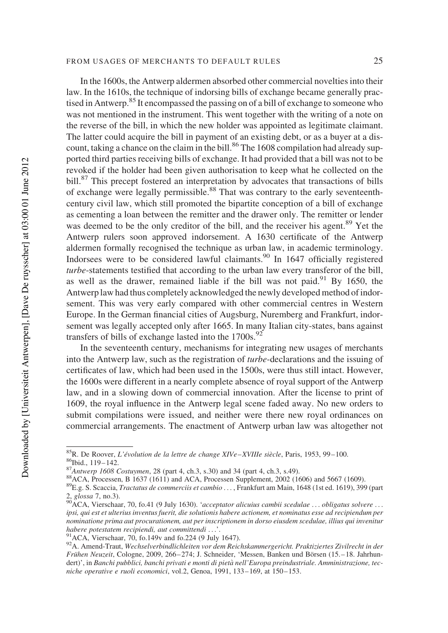In the 1600s, the Antwerp aldermen absorbed other commercial novelties into their law. In the 1610s, the technique of indorsing bills of exchange became generally practised in Antwerp.<sup>85</sup> It encompassed the passing on of a bill of exchange to someone who was not mentioned in the instrument. This went together with the writing of a note on the reverse of the bill, in which the new holder was appointed as legitimate claimant. The latter could acquire the bill in payment of an existing debt, or as a buyer at a discount, taking a chance on the claim in the bill.<sup>86</sup> The 1608 compilation had already supported third parties receiving bills of exchange. It had provided that a bill was not to be revoked if the holder had been given authorisation to keep what he collected on the bill.<sup>87</sup> This precept fostered an interpretation by advocates that transactions of bills of exchange were legally permissible.<sup>88</sup> That was contrary to the early seventeenthcentury civil law, which still promoted the bipartite conception of a bill of exchange as cementing a loan between the remitter and the drawer only. The remitter or lender was deemed to be the only creditor of the bill, and the receiver his agent.<sup>89</sup> Yet the Antwerp rulers soon approved indorsement. A 1630 certificate of the Antwerp aldermen formally recognised the technique as urban law, in academic terminology. Indorsees were to be considered lawful claimants.<sup>90</sup> In 1647 officially registered turbe-statements testified that according to the urban law every transferor of the bill, as well as the drawer, remained liable if the bill was not paid.<sup>91</sup> By 1650, the Antwerp law had thus completely acknowledged the newly developed method of indorsement. This was very early compared with other commercial centres in Western Europe. In the German financial cities of Augsburg, Nuremberg and Frankfurt, indorsement was legally accepted only after 1665. In many Italian city-states, bans against transfers of bills of exchange lasted into the  $1700s$ .<sup>92</sup>

In the seventeenth century, mechanisms for integrating new usages of merchants into the Antwerp law, such as the registration of turbe-declarations and the issuing of certificates of law, which had been used in the 1500s, were thus still intact. However, the 1600s were different in a nearly complete absence of royal support of the Antwerp law, and in a slowing down of commercial innovation. After the license to print of 1609, the royal influence in the Antwerp legal scene faded away. No new orders to submit compilations were issued, and neither were there new royal ordinances on commercial arrangements. The enactment of Antwerp urban law was altogether not

 ${}^{85}R$ . De Roover, L'évolution de la lettre de change XIVe–XVIIIe siècle, Paris, 1953, 99–100. 86Ibid., 119– 142.

 $87$ Antwerp 1608 Costuymen, 28 (part 4, ch.3, s.30) and 34 (part 4, ch.3, s.49).

<sup>&</sup>lt;sup>88</sup>ACA, Processen, B 1637 (1611) and ACA, Processen Supplement, 2002 (1606) and 5667 (1609).

<sup>89</sup>E.g. S. Scaccia, Tractatus de commerciis et cambio ... , Frankfurt am Main, 1648 (1st ed. 1619), 399 (part 2, glossa 7, no.3).

 $^{90}$ ACA, Vierschaar, 70, fo.41 (9 July 1630). 'acceptator alicuius cambii scedulae ... obligatus solvere ... ipsi, qui est et ulterius inventus fuerit, die solutionis habere actionem, et nominatus esse ad recipiendum per nominatione prima aut procurationem, aut per inscriptionem in dorso eiusdem scedulae, illius qui invenitur habere potestatem recipiendi, aut committendi ...'.

<sup>91</sup>ACA, Vierschaar, 70, fo.149v and fo.224 (9 July 1647).

<sup>92</sup>A. Amend-Traut, Wechselverbindlichleiten vor dem Reichskammergericht. Praktiziertes Zivilrecht in der Frühen Neuzeit, Cologne, 2009, 266–274; J. Schneider, 'Messen, Banken und Börsen (15.–18. Jahrhundert)', in Banchi pubblici, banchi privati e monti di pietà nell'Europa preindustriale. Amministrazione, tecniche operative e ruoli economici, vol.2, Genoa, 1991, 133-169, at 150-153.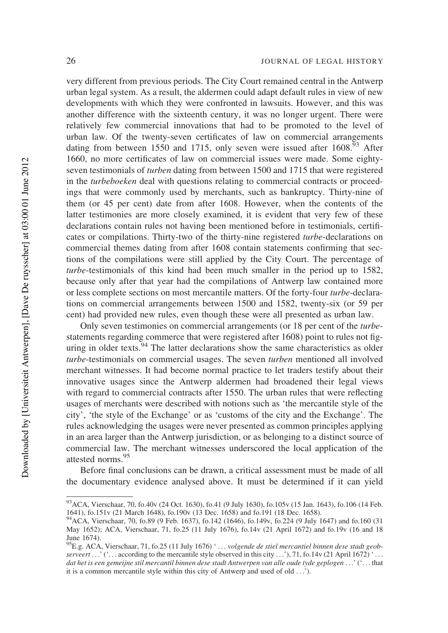very different from previous periods. The City Court remained central in the Antwerp urban legal system. As a result, the aldermen could adapt default rules in view of new developments with which they were confronted in lawsuits. However, and this was another difference with the sixteenth century, it was no longer urgent. There were relatively few commercial innovations that had to be promoted to the level of urban law. Of the twenty-seven certificates of law on commercial arrangements dating from between 1550 and 1715, only seven were issued after  $1608<sup>93</sup>$  After 1660, no more certificates of law on commercial issues were made. Some eightyseven testimonials of turben dating from between 1500 and 1715 that were registered in the turbeboeken deal with questions relating to commercial contracts or proceedings that were commonly used by merchants, such as bankruptcy. Thirty-nine of them (or 45 per cent) date from after 1608. However, when the contents of the latter testimonies are more closely examined, it is evident that very few of these declarations contain rules not having been mentioned before in testimonials, certificates or compilations. Thirty-two of the thirty-nine registered turbe-declarations on commercial themes dating from after 1608 contain statements confirming that sections of the compilations were still applied by the City Court. The percentage of turbe-testimonials of this kind had been much smaller in the period up to 1582, because only after that year had the compilations of Antwerp law contained more or less complete sections on most mercantile matters. Of the forty-four turbe-declarations on commercial arrangements between 1500 and 1582, twenty-six (or 59 per cent) had provided new rules, even though these were all presented as urban law.

Only seven testimonies on commercial arrangements (or 18 per cent of the turbestatements regarding commerce that were registered after 1608) point to rules not figuring in older texts.  $94$  The latter declarations show the same characteristics as older turbe-testimonials on commercial usages. The seven turben mentioned all involved merchant witnesses. It had become normal practice to let traders testify about their innovative usages since the Antwerp aldermen had broadened their legal views with regard to commercial contracts after 1550. The urban rules that were reflecting usages of merchants were described with notions such as 'the mercantile style of the city', 'the style of the Exchange' or as 'customs of the city and the Exchange'. The rules acknowledging the usages were never presented as common principles applying in an area larger than the Antwerp jurisdiction, or as belonging to a distinct source of commercial law. The merchant witnesses underscored the local application of the attested norms.<sup>95</sup>

Before final conclusions can be drawn, a critical assessment must be made of all the documentary evidence analysed above. It must be determined if it can yield

<sup>93</sup>ACA, Vierschaar, 70, fo.40v (24 Oct. 1630), fo.41 (9 July 1630), fo.105v (15 Jan. 1643), fo.106 (14 Feb. 1641), fo.151v (21 March 1648), fo.190v (13 Dec. 1658) and fo.191 (18 Dec. 1658).

<sup>94</sup>ACA, Vierschaar, 70, fo.89 (9 Feb. 1637), fo.142 (1646), fo.149v, fo.224 (9 July 1647) and fo.160 (31 May 1652); ACA, Vierschaar, 71, fo.25 (11 July 1676), fo.14v (21 April 1672) and fo.19v (16 and 18 June 1674).

<sup>&</sup>lt;sup>95</sup>E.g. ACA, Vierschaar, 71, fo.25 (11 July 1676) ' ... volgende de stiel mercantiel binnen dese stadt geobserveert ...' ('... according to the mercantile style observed in this city ...'), 71, fo.14v (21 April 1672) '... dat het is een gemeijne stil mercantil binnen dese stadt Antwerpen van alle oude tyde geplogen ...' ('... that it is a common mercantile style within this city of Antwerp and used of old ...').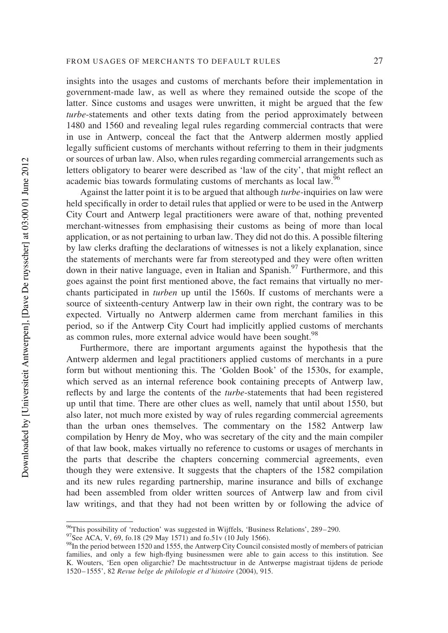insights into the usages and customs of merchants before their implementation in government-made law, as well as where they remained outside the scope of the latter. Since customs and usages were unwritten, it might be argued that the few turbe-statements and other texts dating from the period approximately between 1480 and 1560 and revealing legal rules regarding commercial contracts that were in use in Antwerp, conceal the fact that the Antwerp aldermen mostly applied legally sufficient customs of merchants without referring to them in their judgments or sources of urban law. Also, when rules regarding commercial arrangements such as letters obligatory to bearer were described as 'law of the city', that might reflect an academic bias towards formulating customs of merchants as local law.<sup>96</sup>

Against the latter point it is to be argued that although turbe-inquiries on law were held specifically in order to detail rules that applied or were to be used in the Antwerp City Court and Antwerp legal practitioners were aware of that, nothing prevented merchant-witnesses from emphasising their customs as being of more than local application, or as not pertaining to urban law. They did not do this. A possible filtering by law clerks drafting the declarations of witnesses is not a likely explanation, since the statements of merchants were far from stereotyped and they were often written down in their native language, even in Italian and Spanish.<sup>97</sup> Furthermore, and this goes against the point first mentioned above, the fact remains that virtually no merchants participated in turben up until the 1560s. If customs of merchants were a source of sixteenth-century Antwerp law in their own right, the contrary was to be expected. Virtually no Antwerp aldermen came from merchant families in this period, so if the Antwerp City Court had implicitly applied customs of merchants as common rules, more external advice would have been sought.<sup>98</sup>

Furthermore, there are important arguments against the hypothesis that the Antwerp aldermen and legal practitioners applied customs of merchants in a pure form but without mentioning this. The 'Golden Book' of the 1530s, for example, which served as an internal reference book containing precepts of Antwerp law, reflects by and large the contents of the turbe-statements that had been registered up until that time. There are other clues as well, namely that until about 1550, but also later, not much more existed by way of rules regarding commercial agreements than the urban ones themselves. The commentary on the 1582 Antwerp law compilation by Henry de Moy, who was secretary of the city and the main compiler of that law book, makes virtually no reference to customs or usages of merchants in the parts that describe the chapters concerning commercial agreements, even though they were extensive. It suggests that the chapters of the 1582 compilation and its new rules regarding partnership, marine insurance and bills of exchange had been assembled from older written sources of Antwerp law and from civil law writings, and that they had not been written by or following the advice of

<sup>96</sup>This possibility of 'reduction' was suggested in Wijffels, 'Business Relations', 289–290.

<sup>&</sup>lt;sup>97</sup>See ACA, V, 69, fo.18 (29 May 1571) and fo.51v (10 July 1566).

<sup>&</sup>lt;sup>98</sup>In the period between 1520 and 1555, the Antwerp City Council consisted mostly of members of patrician families, and only a few high-flying businessmen were able to gain access to this institution. See K. Wouters, 'Een open oligarchie? De machtsstructuur in de Antwerpse magistraat tijdens de periode 1520–1555', 82 Revue belge de philologie et d'histoire (2004), 915.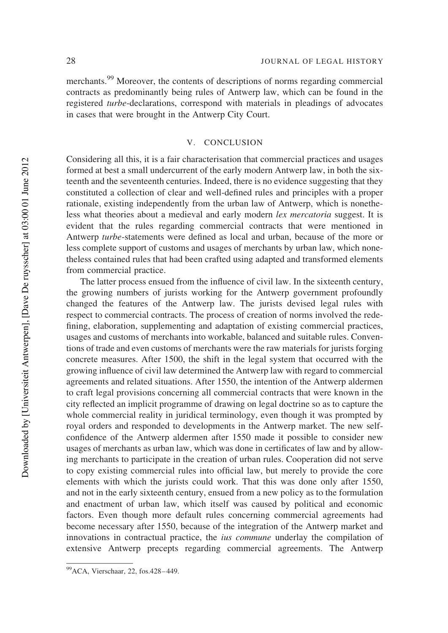merchants.<sup>99</sup> Moreover, the contents of descriptions of norms regarding commercial contracts as predominantly being rules of Antwerp law, which can be found in the registered turbe-declarations, correspond with materials in pleadings of advocates in cases that were brought in the Antwerp City Court.

#### V. CONCLUSION

Considering all this, it is a fair characterisation that commercial practices and usages formed at best a small undercurrent of the early modern Antwerp law, in both the sixteenth and the seventeenth centuries. Indeed, there is no evidence suggesting that they constituted a collection of clear and well-defined rules and principles with a proper rationale, existing independently from the urban law of Antwerp, which is nonetheless what theories about a medieval and early modern lex mercatoria suggest. It is evident that the rules regarding commercial contracts that were mentioned in Antwerp turbe-statements were defined as local and urban, because of the more or less complete support of customs and usages of merchants by urban law, which nonetheless contained rules that had been crafted using adapted and transformed elements from commercial practice.

The latter process ensued from the influence of civil law. In the sixteenth century, the growing numbers of jurists working for the Antwerp government profoundly changed the features of the Antwerp law. The jurists devised legal rules with respect to commercial contracts. The process of creation of norms involved the redefining, elaboration, supplementing and adaptation of existing commercial practices, usages and customs of merchants into workable, balanced and suitable rules. Conventions of trade and even customs of merchants were the raw materials for jurists forging concrete measures. After 1500, the shift in the legal system that occurred with the growing influence of civil law determined the Antwerp law with regard to commercial agreements and related situations. After 1550, the intention of the Antwerp aldermen to craft legal provisions concerning all commercial contracts that were known in the city reflected an implicit programme of drawing on legal doctrine so as to capture the whole commercial reality in juridical terminology, even though it was prompted by royal orders and responded to developments in the Antwerp market. The new selfconfidence of the Antwerp aldermen after 1550 made it possible to consider new usages of merchants as urban law, which was done in certificates of law and by allowing merchants to participate in the creation of urban rules. Cooperation did not serve to copy existing commercial rules into official law, but merely to provide the core elements with which the jurists could work. That this was done only after 1550, and not in the early sixteenth century, ensued from a new policy as to the formulation and enactment of urban law, which itself was caused by political and economic factors. Even though more default rules concerning commercial agreements had become necessary after 1550, because of the integration of the Antwerp market and innovations in contractual practice, the ius commune underlay the compilation of extensive Antwerp precepts regarding commercial agreements. The Antwerp

<sup>99</sup>ACA, Vierschaar, 22, fos.428– 449.